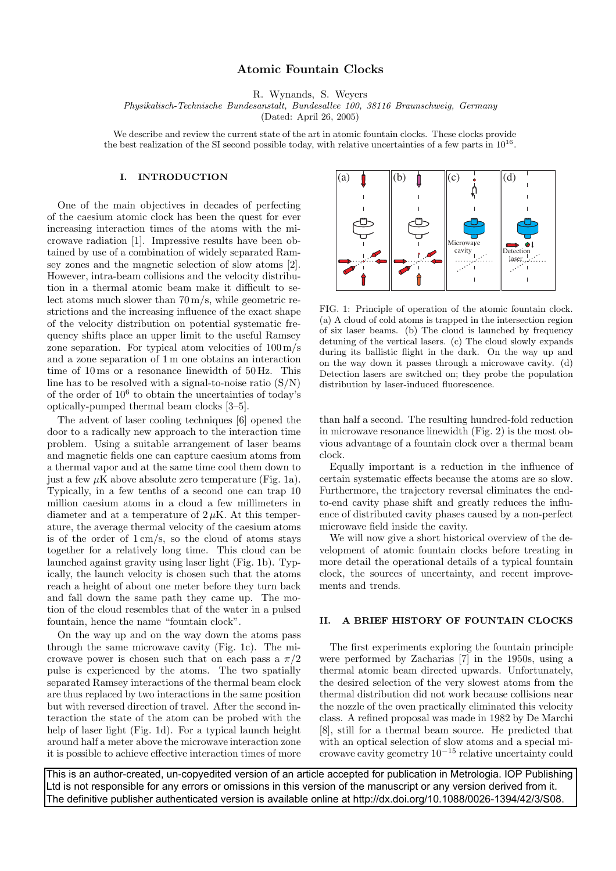## **Atomic Fountain Clocks**

R. Wynands, S. Weyers

Physikalisch-Technische Bundesanstalt, Bundesallee 100, 38116 Braunschweig, Germany

(Dated: April 26, 2005)

We describe and review the current state of the art in atomic fountain clocks. These clocks provide the best realization of the SI second possible today, with relative uncertainties of a few parts in  $10^{16}$ .

## **I. INTRODUCTION**

One of the main objectives in decades of perfecting of the caesium atomic clock has been the quest for ever increasing interaction times of the atoms with the microwave radiation [1]. Impressive results have been obtained by use of a combination of widely separated Ramsey zones and the magnetic selection of slow atoms [2]. However, intra-beam collisions and the velocity distribution in a thermal atomic beam make it difficult to select atoms much slower than 70 m/s, while geometric restrictions and the increasing influence of the exact shape of the velocity distribution on potential systematic frequency shifts place an upper limit to the useful Ramsey zone separation. For typical atom velocities of  $100 \,\mathrm{m/s}$ and a zone separation of 1 m one obtains an interaction time of 10 ms or a resonance linewidth of 50 Hz. This line has to be resolved with a signal-to-noise ratio  $(S/N)$ of the order of  $10^6$  to obtain the uncertainties of today's optically-pumped thermal beam clocks [3–5].

The advent of laser cooling techniques [6] opened the door to a radically new approach to the interaction time problem. Using a suitable arrangement of laser beams and magnetic fields one can capture caesium atoms from a thermal vapor and at the same time cool them down to just a few  $\mu$ K above absolute zero temperature (Fig. 1a). Typically, in a few tenths of a second one can trap 10 million caesium atoms in a cloud a few millimeters in diameter and at a temperature of  $2 \mu$ K. At this temperature, the average thermal velocity of the caesium atoms is of the order of  $1 \text{ cm/s}$ , so the cloud of atoms stays together for a relatively long time. This cloud can be launched against gravity using laser light (Fig. 1b). Typically, the launch velocity is chosen such that the atoms reach a height of about one meter before they turn back and fall down the same path they came up. The motion of the cloud resembles that of the water in a pulsed fountain, hence the name "fountain clock".

On the way up and on the way down the atoms pass through the same microwave cavity (Fig. 1c). The microwave power is chosen such that on each pass a  $\pi/2$ pulse is experienced by the atoms. The two spatially separated Ramsey interactions of the thermal beam clock are thus replaced by two interactions in the same position but with reversed direction of travel. After the second interaction the state of the atom can be probed with the help of laser light (Fig. 1d). For a typical launch height around half a meter above the microwave interaction zone it is possible to achieve effective interaction times of more



FIG. 1: Principle of operation of the atomic fountain clock. (a) A cloud of cold atoms is trapped in the intersection region of six laser beams. (b) The cloud is launched by frequency detuning of the vertical lasers. (c) The cloud slowly expands during its ballistic flight in the dark. On the way up and on the way down it passes through a microwave cavity. (d) Detection lasers are switched on; they probe the population distribution by laser-induced fluorescence.

than half a second. The resulting hundred-fold reduction in microwave resonance linewidth (Fig. 2) is the most obvious advantage of a fountain clock over a thermal beam clock.

Equally important is a reduction in the influence of certain systematic effects because the atoms are so slow. Furthermore, the trajectory reversal eliminates the endto-end cavity phase shift and greatly reduces the influence of distributed cavity phases caused by a non-perfect microwave field inside the cavity.

We will now give a short historical overview of the development of atomic fountain clocks before treating in more detail the operational details of a typical fountain clock, the sources of uncertainty, and recent improvements and trends.

## **II. A BRIEF HISTORY OF FOUNTAIN CLOCKS**

The first experiments exploring the fountain principle were performed by Zacharias [7] in the 1950s, using a thermal atomic beam directed upwards. Unfortunately, the desired selection of the very slowest atoms from the thermal distribution did not work because collisions near the nozzle of the oven practically eliminated this velocity class. A refined proposal was made in 1982 by De Marchi [8], still for a thermal beam source. He predicted that with an optical selection of slow atoms and a special microwave cavity geometry 10−<sup>15</sup> relative uncertainty could

This is an author-created, un-copyedited version of an article accepted for publication in Metrologia. IOP Publishing Ltd is not responsible for any errors or omissions in this version of the manuscript or any version derived from it. The definitive publisher authenticated version is available online at http://dx.doi.org/10.1088/0026-1394/42/3/S08.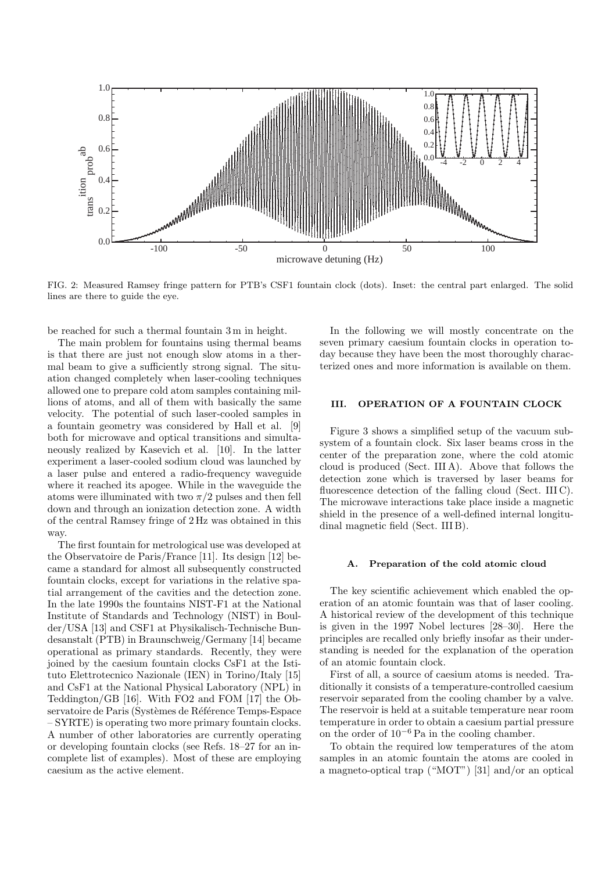

FIG. 2: Measured Ramsey fringe pattern for PTB's CSF1 fountain clock (dots). Inset: the central part enlarged. The solid lines are there to guide the eye.

be reached for such a thermal fountain 3 m in height.

The main problem for fountains using thermal beams is that there are just not enough slow atoms in a thermal beam to give a sufficiently strong signal. The situation changed completely when laser-cooling techniques allowed one to prepare cold atom samples containing millions of atoms, and all of them with basically the same velocity. The potential of such laser-cooled samples in a fountain geometry was considered by Hall et al. [9] both for microwave and optical transitions and simultaneously realized by Kasevich et al. [10]. In the latter experiment a laser-cooled sodium cloud was launched by a laser pulse and entered a radio-frequency waveguide where it reached its apogee. While in the waveguide the atoms were illuminated with two  $\pi/2$  pulses and then fell down and through an ionization detection zone. A width of the central Ramsey fringe of 2 Hz was obtained in this way.

The first fountain for metrological use was developed at the Observatoire de Paris/France [11]. Its design [12] became a standard for almost all subsequently constructed fountain clocks, except for variations in the relative spatial arrangement of the cavities and the detection zone. In the late 1990s the fountains NIST-F1 at the National Institute of Standards and Technology (NIST) in Boulder/USA [13] and CSF1 at Physikalisch-Technische Bundesanstalt (PTB) in Braunschweig/Germany [14] became operational as primary standards. Recently, they were joined by the caesium fountain clocks CsF1 at the Istituto Elettrotecnico Nazionale (IEN) in Torino/Italy [15] and CsF1 at the National Physical Laboratory (NPL) in Teddington/GB [16]. With FO2 and FOM [17] the Observatoire de Paris (Systèmes de Référence Temps-Espace – SYRTE) is operating two more primary fountain clocks. A number of other laboratories are currently operating or developing fountain clocks (see Refs. 18–27 for an incomplete list of examples). Most of these are employing caesium as the active element.

In the following we will mostly concentrate on the seven primary caesium fountain clocks in operation today because they have been the most thoroughly characterized ones and more information is available on them.

## **III. OPERATION OF A FOUNTAIN CLOCK**

Figure 3 shows a simplified setup of the vacuum subsystem of a fountain clock. Six laser beams cross in the center of the preparation zone, where the cold atomic cloud is produced (Sect. III A). Above that follows the detection zone which is traversed by laser beams for fluorescence detection of the falling cloud (Sect. III C). The microwave interactions take place inside a magnetic shield in the presence of a well-defined internal longitudinal magnetic field (Sect. III B).

#### **A. Preparation of the cold atomic cloud**

The key scientific achievement which enabled the operation of an atomic fountain was that of laser cooling. A historical review of the development of this technique is given in the 1997 Nobel lectures [28–30]. Here the principles are recalled only briefly insofar as their understanding is needed for the explanation of the operation of an atomic fountain clock.

First of all, a source of caesium atoms is needed. Traditionally it consists of a temperature-controlled caesium reservoir separated from the cooling chamber by a valve. The reservoir is held at a suitable temperature near room temperature in order to obtain a caesium partial pressure on the order of 10−<sup>6</sup> Pa in the cooling chamber.

To obtain the required low temperatures of the atom samples in an atomic fountain the atoms are cooled in a magneto-optical trap ("MOT") [31] and/or an optical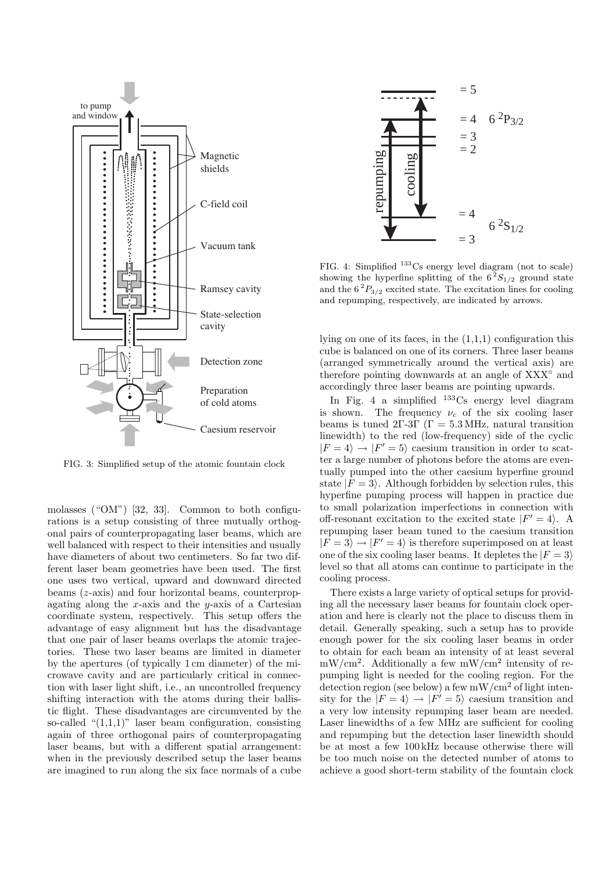

FIG. 3: Simplified setup of the atomic fountain clock

molasses ("OM") [32, 33]. Common to both configurations is a setup consisting of three mutually orthogonal pairs of counterpropagating laser beams, which are well balanced with respect to their intensities and usually have diameters of about two centimeters. So far two different laser beam geometries have been used. The first one uses two vertical, upward and downward directed beams (z-axis) and four horizontal beams, counterpropagating along the x-axis and the y-axis of a Cartesian coordinate system, respectively. This setup offers the advantage of easy alignment but has the disadvantage that one pair of laser beams overlaps the atomic trajectories. These two laser beams are limited in diameter by the apertures (of typically 1 cm diameter) of the microwave cavity and are particularly critical in connection with laser light shift, i.e., an uncontrolled frequency shifting interaction with the atoms during their ballistic flight. These disadvantages are circumvented by the so-called " $(1.1.1)$ " laser beam configuration, consisting again of three orthogonal pairs of counterpropagating laser beams, but with a different spatial arrangement: when in the previously described setup the laser beams are imagined to run along the six face normals of a cube



FIG. 4: Simplified  $133$ Cs energy level diagram (not to scale) showing the hyperfine splitting of the  $6^2S_{1/2}$  ground state and the  $6^2P_{3/2}$  excited state. The excitation lines for cooling and repumping, respectively, are indicated by arrows.

lying on one of its faces, in the  $(1,1,1)$  configuration this cube is balanced on one of its corners. Three laser beams (arranged symmetrically around the vertical axis) are therefore pointing downwards at an angle of XXX<sup></sup>° and accordingly three laser beams are pointing upwards.

In Fig. 4 a simplified  $133C$ s energy level diagram is shown. The frequency  $\nu_c$  of the six cooling laser beams is tuned 2Γ-3Γ ( $\Gamma = 5.3$  MHz, natural transition linewidth) to the red (low-frequency) side of the cyclic  $|F = 4\rangle \rightarrow |F' = 5\rangle$  caesium transition in order to scatter a large number of photons before the atoms are eventually pumped into the other caesium hyperfine ground state  $|F = 3\rangle$ . Although forbidden by selection rules, this hyperfine pumping process will happen in practice due to small polarization imperfections in connection with off-resonant excitation to the excited state  $|F' = 4\rangle$ . A repumping laser beam tuned to the caesium transition  $|F = 3\rangle \rightarrow |F' = 4\rangle$  is therefore superimposed on at least one of the six cooling laser beams. It depletes the  $|F = 3\rangle$ level so that all atoms can continue to participate in the cooling process.

There exists a large variety of optical setups for providing all the necessary laser beams for fountain clock operation and here is clearly not the place to discuss them in detail. Generally speaking, such a setup has to provide enough power for the six cooling laser beams in order to obtain for each beam an intensity of at least several  $mW/cm<sup>2</sup>$ . Additionally a few  $mW/cm<sup>2</sup>$  intensity of repumping light is needed for the cooling region. For the detection region (see below) a few  $mW/cm^2$  of light intensity for the  $|F = 4\rangle \rightarrow |F' = 5\rangle$  caesium transition and a very low intensity repumping laser beam are needed. Laser linewidths of a few MHz are sufficient for cooling and repumping but the detection laser linewidth should be at most a few 100 kHz because otherwise there will be too much noise on the detected number of atoms to achieve a good short-term stability of the fountain clock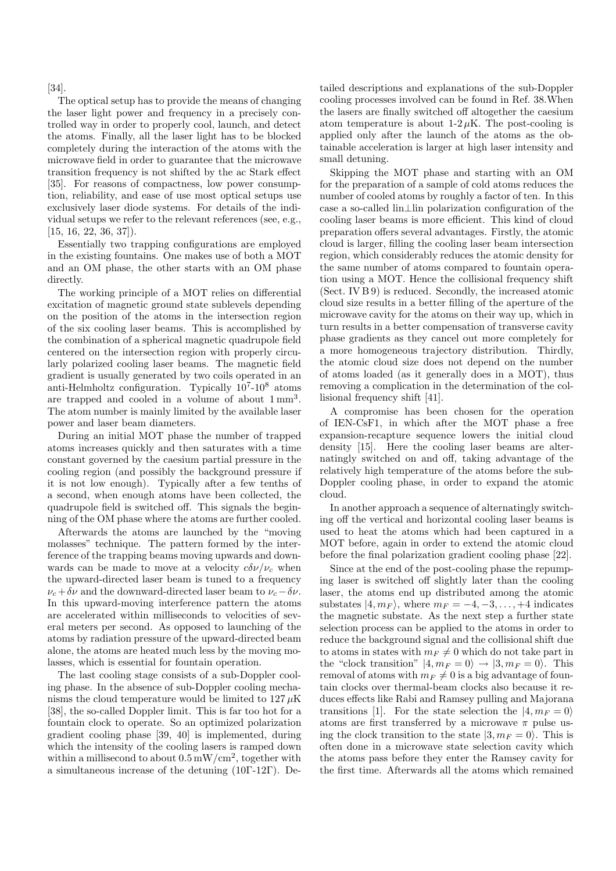[34].

The optical setup has to provide the means of changing the laser light power and frequency in a precisely controlled way in order to properly cool, launch, and detect the atoms. Finally, all the laser light has to be blocked completely during the interaction of the atoms with the microwave field in order to guarantee that the microwave transition frequency is not shifted by the ac Stark effect [35]. For reasons of compactness, low power consumption, reliability, and ease of use most optical setups use exclusively laser diode systems. For details of the individual setups we refer to the relevant references (see, e.g.,  $[15, 16, 22, 36, 37]$ .

Essentially two trapping configurations are employed in the existing fountains. One makes use of both a MOT and an OM phase, the other starts with an OM phase directly.

The working principle of a MOT relies on differential excitation of magnetic ground state sublevels depending on the position of the atoms in the intersection region of the six cooling laser beams. This is accomplished by the combination of a spherical magnetic quadrupole field centered on the intersection region with properly circularly polarized cooling laser beams. The magnetic field gradient is usually generated by two coils operated in an anti-Helmholtz configuration. Typically  $10^7\text{-}10^8$  atoms are trapped and cooled in a volume of about 1 mm<sup>3</sup>. The atom number is mainly limited by the available laser power and laser beam diameters.

During an initial MOT phase the number of trapped atoms increases quickly and then saturates with a time constant governed by the caesium partial pressure in the cooling region (and possibly the background pressure if it is not low enough). Typically after a few tenths of a second, when enough atoms have been collected, the quadrupole field is switched off. This signals the beginning of the OM phase where the atoms are further cooled.

Afterwards the atoms are launched by the "moving molasses" technique. The pattern formed by the interference of the trapping beams moving upwards and downwards can be made to move at a velocity  $c\delta\nu/\nu_c$  when the upward-directed laser beam is tuned to a frequency  $\nu_c + \delta \nu$  and the downward-directed laser beam to  $\nu_c - \delta \nu$ . In this upward-moving interference pattern the atoms are accelerated within milliseconds to velocities of several meters per second. As opposed to launching of the atoms by radiation pressure of the upward-directed beam alone, the atoms are heated much less by the moving molasses, which is essential for fountain operation.

The last cooling stage consists of a sub-Doppler cooling phase. In the absence of sub-Doppler cooling mechanisms the cloud temperature would be limited to  $127 \mu K$ [38], the so-called Doppler limit. This is far too hot for a fountain clock to operate. So an optimized polarization gradient cooling phase [39, 40] is implemented, during which the intensity of the cooling lasers is ramped down within a millisecond to about  $0.5 \text{ mW/cm}^2$ , together with a simultaneous increase of the detuning (10Γ-12Γ). Detailed descriptions and explanations of the sub-Doppler cooling processes involved can be found in Ref. 38.When the lasers are finally switched off altogether the caesium atom temperature is about  $1-2 \mu K$ . The post-cooling is applied only after the launch of the atoms as the obtainable acceleration is larger at high laser intensity and small detuning.

Skipping the MOT phase and starting with an OM for the preparation of a sample of cold atoms reduces the number of cooled atoms by roughly a factor of ten. In this case a so-called lin⊥lin polarization configuration of the cooling laser beams is more efficient. This kind of cloud preparation offers several advantages. Firstly, the atomic cloud is larger, filling the cooling laser beam intersection region, which considerably reduces the atomic density for the same number of atoms compared to fountain operation using a MOT. Hence the collisional frequency shift (Sect. IV B 9) is reduced. Secondly, the increased atomic cloud size results in a better filling of the aperture of the microwave cavity for the atoms on their way up, which in turn results in a better compensation of transverse cavity phase gradients as they cancel out more completely for a more homogeneous trajectory distribution. Thirdly, the atomic cloud size does not depend on the number of atoms loaded (as it generally does in a MOT), thus removing a complication in the determination of the collisional frequency shift [41].

A compromise has been chosen for the operation of IEN-CsF1, in which after the MOT phase a free expansion-recapture sequence lowers the initial cloud density [15]. Here the cooling laser beams are alternatingly switched on and off, taking advantage of the relatively high temperature of the atoms before the sub-Doppler cooling phase, in order to expand the atomic cloud.

In another approach a sequence of alternatingly switching off the vertical and horizontal cooling laser beams is used to heat the atoms which had been captured in a MOT before, again in order to extend the atomic cloud before the final polarization gradient cooling phase [22].

Since at the end of the post-cooling phase the repumping laser is switched off slightly later than the cooling laser, the atoms end up distributed among the atomic substates  $|4, m_F\rangle$ , where  $m_F = -4, -3, \dots, +4$  indicates the magnetic substate. As the next step a further state selection process can be applied to the atoms in order to reduce the background signal and the collisional shift due to atoms in states with  $m_F \neq 0$  which do not take part in the "clock transition"  $|4, m_F = 0\rangle \rightarrow |3, m_F = 0\rangle$ . This removal of atoms with  $m_F \neq 0$  is a big advantage of fountain clocks over thermal-beam clocks also because it reduces effects like Rabi and Ramsey pulling and Majorana transitions [1]. For the state selection the  $|4, m_F = 0\rangle$ atoms are first transferred by a microwave  $\pi$  pulse using the clock transition to the state  $|3, m_F = 0\rangle$ . This is often done in a microwave state selection cavity which the atoms pass before they enter the Ramsey cavity for the first time. Afterwards all the atoms which remained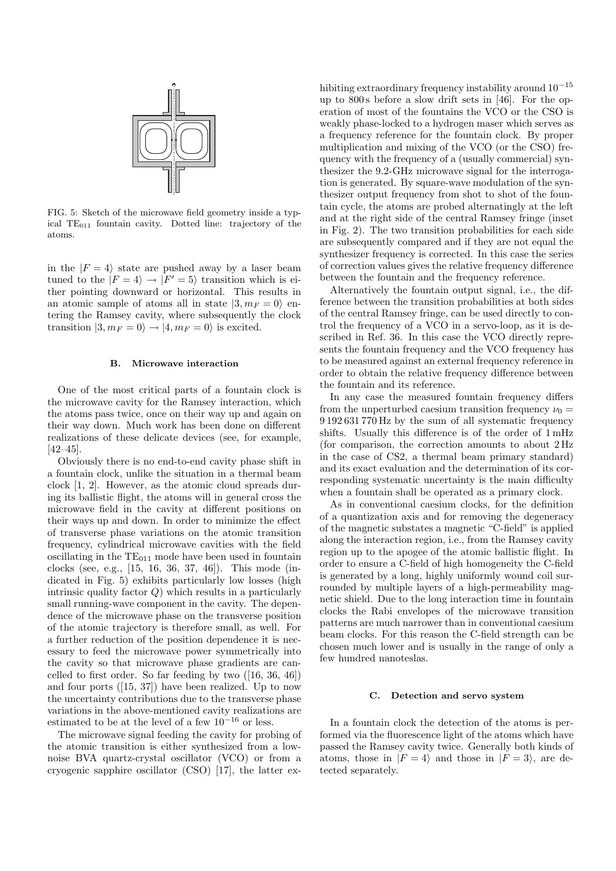

FIG. 5: Sketch of the microwave field geometry inside a typical TE<sub>011</sub> fountain cavity. Dotted line: trajectory of the atoms.

in the  $|F = 4\rangle$  state are pushed away by a laser beam tuned to the  $|F = 4\rangle \rightarrow |F' = 5\rangle$  transition which is either pointing downward or horizontal. This results in an atomic sample of atoms all in state  $|3, m_F = 0\rangle$  entering the Ramsey cavity, where subsequently the clock transition  $|3, m_F = 0\rangle \rightarrow |4, m_F = 0\rangle$  is excited.

#### **B. Microwave interaction**

One of the most critical parts of a fountain clock is the microwave cavity for the Ramsey interaction, which the atoms pass twice, once on their way up and again on their way down. Much work has been done on different realizations of these delicate devices (see, for example, [42–45].

Obviously there is no end-to-end cavity phase shift in a fountain clock, unlike the situation in a thermal beam clock [1, 2]. However, as the atomic cloud spreads during its ballistic flight, the atoms will in general cross the microwave field in the cavity at different positions on their ways up and down. In order to minimize the effect of transverse phase variations on the atomic transition frequency, cylindrical microwave cavities with the field oscillating in the  $TE_{011}$  mode have been used in fountain clocks (see, e.g., [15, 16, 36, 37, 46]). This mode (indicated in Fig. 5) exhibits particularly low losses (high intrinsic quality factor  $Q$ ) which results in a particularly small running-wave component in the cavity. The dependence of the microwave phase on the transverse position of the atomic trajectory is therefore small, as well. For a further reduction of the position dependence it is necessary to feed the microwave power symmetrically into the cavity so that microwave phase gradients are cancelled to first order. So far feeding by two ([16, 36, 46]) and four ports ([15, 37]) have been realized. Up to now the uncertainty contributions due to the transverse phase variations in the above-mentioned cavity realizations are estimated to be at the level of a few  $10^{-16}$  or less.

The microwave signal feeding the cavity for probing of the atomic transition is either synthesized from a lownoise BVA quartz-crystal oscillator (VCO) or from a cryogenic sapphire oscillator (CSO) [17], the latter exhibiting extraordinary frequency instability around 10−<sup>15</sup> up to 800 s before a slow drift sets in [46]. For the operation of most of the fountains the VCO or the CSO is weakly phase-locked to a hydrogen maser which serves as a frequency reference for the fountain clock. By proper multiplication and mixing of the VCO (or the CSO) frequency with the frequency of a (usually commercial) synthesizer the 9.2-GHz microwave signal for the interrogation is generated. By square-wave modulation of the synthesizer output frequency from shot to shot of the fountain cycle, the atoms are probed alternatingly at the left and at the right side of the central Ramsey fringe (inset in Fig. 2). The two transition probabilities for each side are subsequently compared and if they are not equal the synthesizer frequency is corrected. In this case the series of correction values gives the relative frequency difference between the fountain and the frequency reference.

Alternatively the fountain output signal, i.e., the difference between the transition probabilities at both sides of the central Ramsey fringe, can be used directly to control the frequency of a VCO in a servo-loop, as it is described in Ref. 36. In this case the VCO directly represents the fountain frequency and the VCO frequency has to be measured against an external frequency reference in order to obtain the relative frequency difference between the fountain and its reference.

In any case the measured fountain frequency differs from the unperturbed caesium transition frequency  $\nu_0 =$ 9 192 631 770 Hz by the sum of all systematic frequency shifts. Usually this difference is of the order of 1 mHz (for comparison, the correction amounts to about 2 Hz in the case of CS2, a thermal beam primary standard) and its exact evaluation and the determination of its corresponding systematic uncertainty is the main difficulty when a fountain shall be operated as a primary clock.

As in conventional caesium clocks, for the definition of a quantization axis and for removing the degeneracy of the magnetic substates a magnetic "C-field" is applied along the interaction region, i.e., from the Ramsey cavity region up to the apogee of the atomic ballistic flight. In order to ensure a C-field of high homogeneity the C-field is generated by a long, highly uniformly wound coil surrounded by multiple layers of a high-permeability magnetic shield. Due to the long interaction time in fountain clocks the Rabi envelopes of the microwave transition patterns are much narrower than in conventional caesium beam clocks. For this reason the C-field strength can be chosen much lower and is usually in the range of only a few hundred nanoteslas.

#### **C. Detection and servo system**

In a fountain clock the detection of the atoms is performed via the fluorescence light of the atoms which have passed the Ramsey cavity twice. Generally both kinds of atoms, those in  $|F = 4\rangle$  and those in  $|F = 3\rangle$ , are detected separately.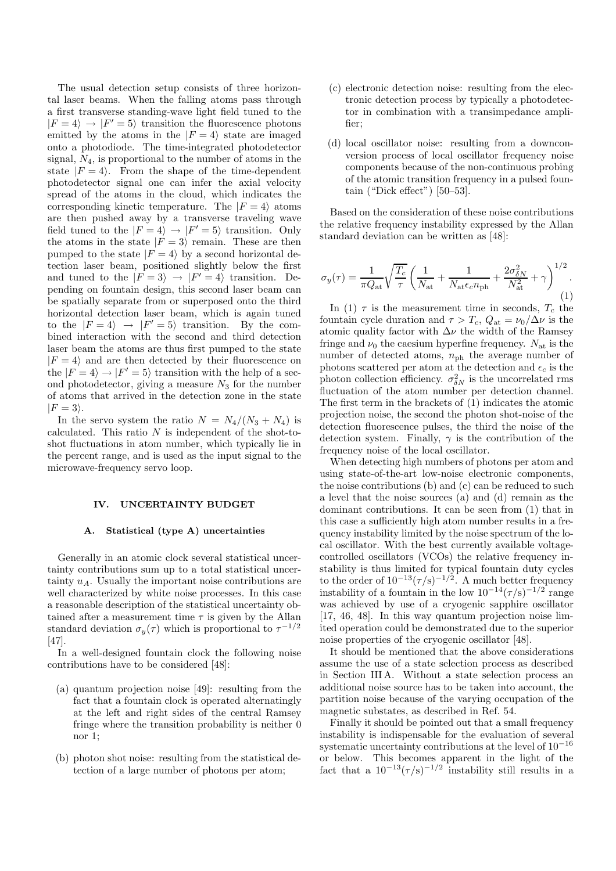The usual detection setup consists of three horizontal laser beams. When the falling atoms pass through a first transverse standing-wave light field tuned to the  $|F = 4\rangle \rightarrow |F' = 5\rangle$  transition the fluorescence photons emitted by the atoms in the  $|F = 4\rangle$  state are imaged onto a photodiode. The time-integrated photodetector signal,  $N_4$ , is proportional to the number of atoms in the state  $|F = 4\rangle$ . From the shape of the time-dependent photodetector signal one can infer the axial velocity spread of the atoms in the cloud, which indicates the corresponding kinetic temperature. The  $|F = 4\rangle$  atoms are then pushed away by a transverse traveling wave field tuned to the  $|F = 4\rangle \rightarrow |F' = 5\rangle$  transition. Only the atoms in the state  $|F = 3\rangle$  remain. These are then pumped to the state  $|F = 4\rangle$  by a second horizontal detection laser beam, positioned slightly below the first and tuned to the  $|F = 3\rangle \rightarrow |F' = 4\rangle$  transition. Depending on fountain design, this second laser beam can be spatially separate from or superposed onto the third horizontal detection laser beam, which is again tuned to the  $|F = 4\rangle \rightarrow |F' = 5\rangle$  transition. By the combined interaction with the second and third detection laser beam the atoms are thus first pumped to the state  $|F = 4\rangle$  and are then detected by their fluorescence on the  $|F = 4\rangle \rightarrow |F' = 5\rangle$  transition with the help of a second photodetector, giving a measure  $N_3$  for the number of atoms that arrived in the detection zone in the state  $|F = 3\rangle$ .

In the servo system the ratio  $N = N_4/(N_3 + N_4)$  is calculated. This ratio  $N$  is independent of the shot-toshot fluctuations in atom number, which typically lie in the percent range, and is used as the input signal to the microwave-frequency servo loop.

### **IV. UNCERTAINTY BUDGET**

#### **A. Statistical (type A) uncertainties**

Generally in an atomic clock several statistical uncertainty contributions sum up to a total statistical uncertainty  $u_A$ . Usually the important noise contributions are well characterized by white noise processes. In this case a reasonable description of the statistical uncertainty obtained after a measurement time  $\tau$  is given by the Allan standard deviation  $\sigma_y(\tau)$  which is proportional to  $\tau^{-1/2}$ [47].

In a well-designed fountain clock the following noise contributions have to be considered [48]:

- (a) quantum projection noise [49]: resulting from the fact that a fountain clock is operated alternatingly at the left and right sides of the central Ramsey fringe where the transition probability is neither 0 nor 1;
- (b) photon shot noise: resulting from the statistical detection of a large number of photons per atom;
- (c) electronic detection noise: resulting from the electronic detection process by typically a photodetector in combination with a transimpedance amplifier;
- (d) local oscillator noise: resulting from a downconversion process of local oscillator frequency noise components because of the non-continuous probing of the atomic transition frequency in a pulsed fountain ("Dick effect") [50–53].

Based on the consideration of these noise contributions the relative frequency instability expressed by the Allan standard deviation can be written as [48]:

$$
\sigma_y(\tau) = \frac{1}{\pi Q_{\rm at}} \sqrt{\frac{T_c}{\tau}} \left( \frac{1}{N_{\rm at}} + \frac{1}{N_{\rm at} \epsilon_c n_{\rm ph}} + \frac{2\sigma_{\delta N}^2}{N_{\rm at}^2} + \gamma \right)^{1/2}.
$$
\n(1)

In (1)  $\tau$  is the measurement time in seconds,  $T_c$  the fountain cycle duration and  $\tau > T_c$ ,  $Q_{\text{at}} = \nu_0/\Delta \nu$  is the atomic quality factor with  $\Delta \nu$  the width of the Ramsey fringe and  $\nu_0$  the caesium hyperfine frequency.  $N_{\text{at}}$  is the number of detected atoms,  $n_{ph}$  the average number of photons scattered per atom at the detection and  $\epsilon_c$  is the photon collection efficiency.  $\sigma_{\delta N}^2$  is the uncorrelated rms fluctuation of the atom number per detection channel. The first term in the brackets of (1) indicates the atomic projection noise, the second the photon shot-noise of the detection fluorescence pulses, the third the noise of the detection system. Finally,  $\gamma$  is the contribution of the frequency noise of the local oscillator.

When detecting high numbers of photons per atom and using state-of-the-art low-noise electronic components, the noise contributions (b) and (c) can be reduced to such a level that the noise sources (a) and (d) remain as the dominant contributions. It can be seen from (1) that in this case a sufficiently high atom number results in a frequency instability limited by the noise spectrum of the local oscillator. With the best currently available voltagecontrolled oscillators (VCOs) the relative frequency instability is thus limited for typical fountain duty cycles to the order of  $10^{-13} (\tau/s)^{-1/2}$ . A much better frequency instability of a fountain in the low  $10^{-14} (\tau/s)^{-1/2}$  range was achieved by use of a cryogenic sapphire oscillator [17, 46, 48]. In this way quantum projection noise limited operation could be demonstrated due to the superior noise properties of the cryogenic oscillator [48].

It should be mentioned that the above considerations assume the use of a state selection process as described in Section III A. Without a state selection process an additional noise source has to be taken into account, the partition noise because of the varying occupation of the magnetic substates, as described in Ref. 54.

Finally it should be pointed out that a small frequency instability is indispensable for the evaluation of several systematic uncertainty contributions at the level of  $10^{-16}$ or below. This becomes apparent in the light of the fact that a  $10^{-13} (\tau/s)^{-1/2}$  instability still results in a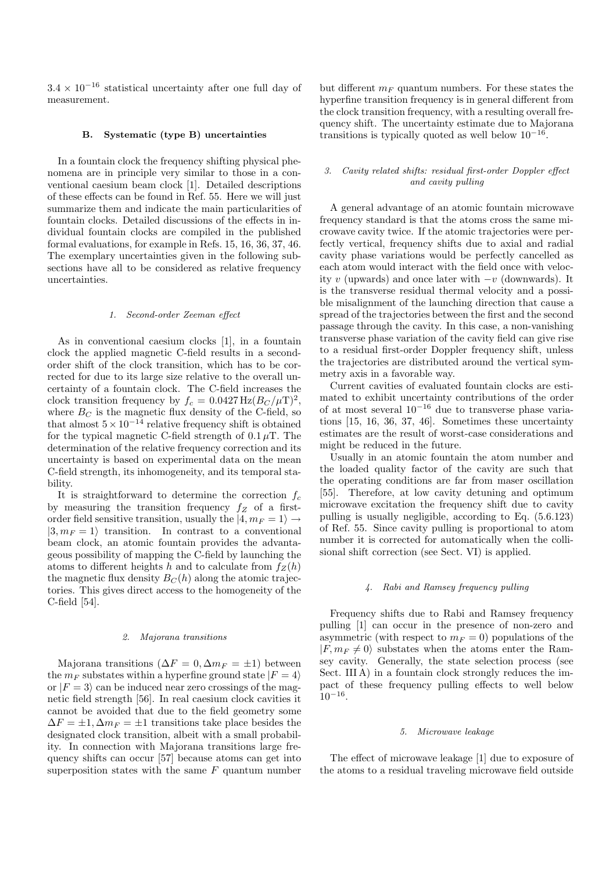$3.4 \times 10^{-16}$  statistical uncertainty after one full day of measurement.

### **B. Systematic (type B) uncertainties**

In a fountain clock the frequency shifting physical phenomena are in principle very similar to those in a conventional caesium beam clock [1]. Detailed descriptions of these effects can be found in Ref. 55. Here we will just summarize them and indicate the main particularities of fountain clocks. Detailed discussions of the effects in individual fountain clocks are compiled in the published formal evaluations, for example in Refs. 15, 16, 36, 37, 46. The exemplary uncertainties given in the following subsections have all to be considered as relative frequency uncertainties.

### 1. Second-order Zeeman effect

As in conventional caesium clocks [1], in a fountain clock the applied magnetic C-field results in a secondorder shift of the clock transition, which has to be corrected for due to its large size relative to the overall uncertainty of a fountain clock. The C-field increases the clock transition frequency by  $f_c = 0.0427 \text{ Hz} (B_C / \mu \text{T})^2$ , where  $B_C$  is the magnetic flux density of the C-field, so that almost  $5 \times 10^{-14}$  relative frequency shift is obtained for the typical magnetic C-field strength of  $0.1 \mu$ T. The determination of the relative frequency correction and its uncertainty is based on experimental data on the mean C-field strength, its inhomogeneity, and its temporal stability.

It is straightforward to determine the correction  $f_c$ by measuring the transition frequency  $f_Z$  of a firstorder field sensitive transition, usually the  $|4, m_F = 1\rangle \rightarrow$  $|3, m_F = 1\rangle$  transition. In contrast to a conventional beam clock, an atomic fountain provides the advantageous possibility of mapping the C-field by launching the atoms to different heights h and to calculate from  $f_Z(h)$ the magnetic flux density  $B<sub>C</sub>(h)$  along the atomic trajectories. This gives direct access to the homogeneity of the C-field [54].

#### 2. Majorana transitions

Majorana transitions ( $\Delta F = 0$ ,  $\Delta m_F = \pm 1$ ) between the  $m_F$  substates within a hyperfine ground state  $|F = 4\rangle$ or  $|F = 3\rangle$  can be induced near zero crossings of the magnetic field strength [56]. In real caesium clock cavities it cannot be avoided that due to the field geometry some  $\Delta F = \pm 1$ ,  $\Delta m_F = \pm 1$  transitions take place besides the designated clock transition, albeit with a small probability. In connection with Majorana transitions large frequency shifts can occur [57] because atoms can get into superposition states with the same  $F$  quantum number but different  $m_F$  quantum numbers. For these states the hyperfine transition frequency is in general different from the clock transition frequency, with a resulting overall frequency shift. The uncertainty estimate due to Majorana transitions is typically quoted as well below  $10^{-16}$ .

### 3. Cavity related shifts: residual first-order Doppler effect and cavity pulling

A general advantage of an atomic fountain microwave frequency standard is that the atoms cross the same microwave cavity twice. If the atomic trajectories were perfectly vertical, frequency shifts due to axial and radial cavity phase variations would be perfectly cancelled as each atom would interact with the field once with velocity v (upwards) and once later with  $-v$  (downwards). It is the transverse residual thermal velocity and a possible misalignment of the launching direction that cause a spread of the trajectories between the first and the second passage through the cavity. In this case, a non-vanishing transverse phase variation of the cavity field can give rise to a residual first-order Doppler frequency shift, unless the trajectories are distributed around the vertical symmetry axis in a favorable way.

Current cavities of evaluated fountain clocks are estimated to exhibit uncertainty contributions of the order of at most several  $10^{-16}$  due to transverse phase variations [15, 16, 36, 37, 46]. Sometimes these uncertainty estimates are the result of worst-case considerations and might be reduced in the future.

Usually in an atomic fountain the atom number and the loaded quality factor of the cavity are such that the operating conditions are far from maser oscillation [55]. Therefore, at low cavity detuning and optimum microwave excitation the frequency shift due to cavity pulling is usually negligible, according to Eq. (5.6.123) of Ref. 55. Since cavity pulling is proportional to atom number it is corrected for automatically when the collisional shift correction (see Sect. VI) is applied.

### 4. Rabi and Ramsey frequency pulling

Frequency shifts due to Rabi and Ramsey frequency pulling [1] can occur in the presence of non-zero and asymmetric (with respect to  $m_F = 0$ ) populations of the  $|F, m_F \neq 0\rangle$  substates when the atoms enter the Ramsey cavity. Generally, the state selection process (see Sect. III A) in a fountain clock strongly reduces the impact of these frequency pulling effects to well below  $10^{-16}$ .

### 5. Microwave leakage

The effect of microwave leakage [1] due to exposure of the atoms to a residual traveling microwave field outside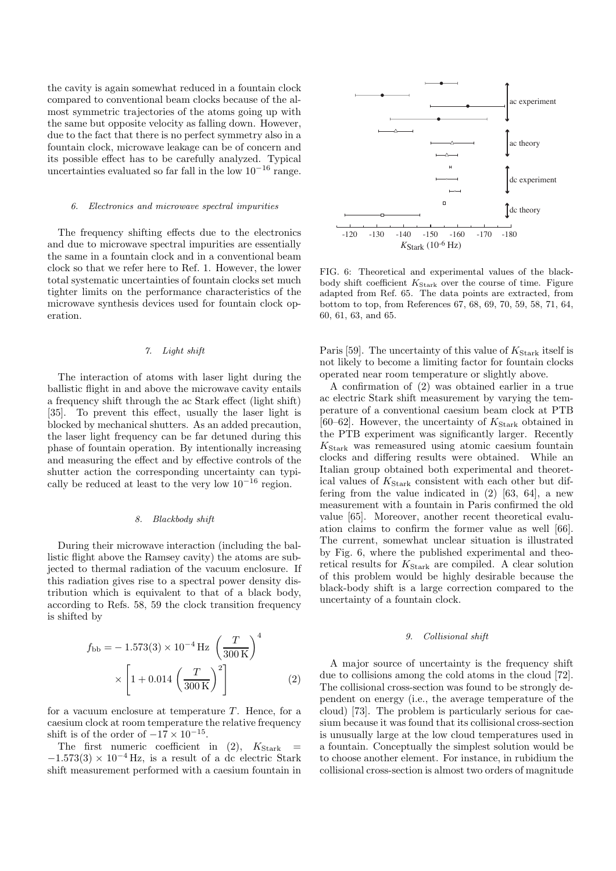the cavity is again somewhat reduced in a fountain clock compared to conventional beam clocks because of the almost symmetric trajectories of the atoms going up with the same but opposite velocity as falling down. However, due to the fact that there is no perfect symmetry also in a fountain clock, microwave leakage can be of concern and its possible effect has to be carefully analyzed. Typical uncertainties evaluated so far fall in the low  $10^{-16}$  range.

#### 6. Electronics and microwave spectral impurities

The frequency shifting effects due to the electronics and due to microwave spectral impurities are essentially the same in a fountain clock and in a conventional beam clock so that we refer here to Ref. 1. However, the lower total systematic uncertainties of fountain clocks set much tighter limits on the performance characteristics of the microwave synthesis devices used for fountain clock operation.

## 7. Light shift

The interaction of atoms with laser light during the ballistic flight in and above the microwave cavity entails a frequency shift through the ac Stark effect (light shift) [35]. To prevent this effect, usually the laser light is blocked by mechanical shutters. As an added precaution, the laser light frequency can be far detuned during this phase of fountain operation. By intentionally increasing and measuring the effect and by effective controls of the shutter action the corresponding uncertainty can typically be reduced at least to the very low  $10^{-16}$  region.

#### 8. Blackbody shift

During their microwave interaction (including the ballistic flight above the Ramsey cavity) the atoms are subjected to thermal radiation of the vacuum enclosure. If this radiation gives rise to a spectral power density distribution which is equivalent to that of a black body, according to Refs. 58, 59 the clock transition frequency is shifted by

$$
f_{\rm bb} = -1.573(3) \times 10^{-4} \,\text{Hz} \left(\frac{T}{300 \,\text{K}}\right)^4
$$

$$
\times \left[1 + 0.014 \left(\frac{T}{300 \,\text{K}}\right)^2\right] \tag{2}
$$

for a vacuum enclosure at temperature  $T$ . Hence, for a caesium clock at room temperature the relative frequency shift is of the order of  $-17 \times 10^{-15}$ .

The first numeric coefficient in  $(2)$ ,  $K_{Stark}$  $-1.573(3) \times 10^{-4}$  Hz, is a result of a dc electric Stark shift measurement performed with a caesium fountain in



FIG. 6: Theoretical and experimental values of the blackbody shift coefficient  $K_{\text{Stark}}$  over the course of time. Figure adapted from Ref. 65. The data points are extracted, from bottom to top, from References 67, 68, 69, 70, 59, 58, 71, 64, 60, 61, 63, and 65.

Paris [59]. The uncertainty of this value of  $K_{\text{Stark}}$  itself is not likely to become a limiting factor for fountain clocks operated near room temperature or slightly above.

A confirmation of (2) was obtained earlier in a true ac electric Stark shift measurement by varying the temperature of a conventional caesium beam clock at PTB [60–62]. However, the uncertainty of  $K_{\text{Stark}}$  obtained in the PTB experiment was significantly larger. Recently  $K_{\text{Stark}}$  was remeasured using atomic caesium fountain clocks and differing results were obtained. While an Italian group obtained both experimental and theoretical values of  $K_{\text{Stark}}$  consistent with each other but differing from the value indicated in (2) [63, 64], a new measurement with a fountain in Paris confirmed the old value [65]. Moreover, another recent theoretical evaluation claims to confirm the former value as well [66]. The current, somewhat unclear situation is illustrated by Fig. 6, where the published experimental and theoretical results for  $K_{\text{Stark}}$  are compiled. A clear solution of this problem would be highly desirable because the black-body shift is a large correction compared to the uncertainty of a fountain clock.

#### 9. Collisional shift

A major source of uncertainty is the frequency shift due to collisions among the cold atoms in the cloud [72]. The collisional cross-section was found to be strongly dependent on energy (i.e., the average temperature of the cloud) [73]. The problem is particularly serious for caesium because it was found that its collisional cross-section is unusually large at the low cloud temperatures used in a fountain. Conceptually the simplest solution would be to choose another element. For instance, in rubidium the collisional cross-section is almost two orders of magnitude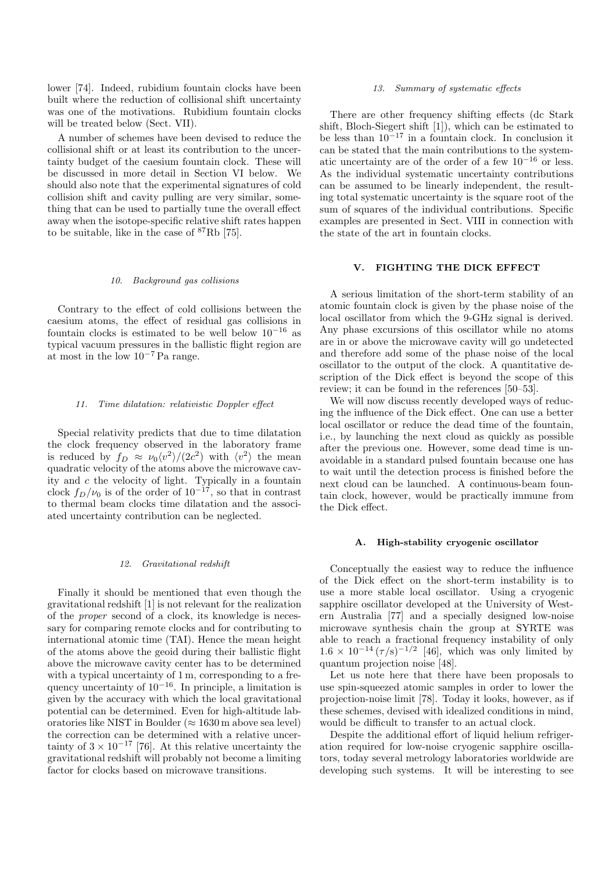lower [74]. Indeed, rubidium fountain clocks have been built where the reduction of collisional shift uncertainty was one of the motivations. Rubidium fountain clocks will be treated below (Sect. VII).

A number of schemes have been devised to reduce the collisional shift or at least its contribution to the uncertainty budget of the caesium fountain clock. These will be discussed in more detail in Section VI below. We should also note that the experimental signatures of cold collision shift and cavity pulling are very similar, something that can be used to partially tune the overall effect away when the isotope-specific relative shift rates happen to be suitable, like in the case of  ${}^{87}$ Rb [75].

#### 10. Background gas collisions

Contrary to the effect of cold collisions between the caesium atoms, the effect of residual gas collisions in fountain clocks is estimated to be well below  $10^{-16}$  as typical vacuum pressures in the ballistic flight region are at most in the low 10−<sup>7</sup> Pa range.

## 11. Time dilatation: relativistic Doppler effect

Special relativity predicts that due to time dilatation the clock frequency observed in the laboratory frame is reduced by  $f_D \approx \nu_0 \langle v^2 \rangle / (2c^2)$  with  $\langle v^2 \rangle$  the mean quadratic velocity of the atoms above the microwave cavity and c the velocity of light. Typically in a fountain clock  $f_D/\nu_0$  is of the order of  $10^{-17}$ , so that in contrast to thermal beam clocks time dilatation and the associated uncertainty contribution can be neglected.

#### 12. Gravitational redshift

Finally it should be mentioned that even though the gravitational redshift [1] is not relevant for the realization of the proper second of a clock, its knowledge is necessary for comparing remote clocks and for contributing to international atomic time (TAI). Hence the mean height of the atoms above the geoid during their ballistic flight above the microwave cavity center has to be determined with a typical uncertainty of 1 m, corresponding to a frequency uncertainty of  $10^{-16}$ . In principle, a limitation is given by the accuracy with which the local gravitational potential can be determined. Even for high-altitude laboratories like NIST in Boulder ( $\approx 1630$  m above sea level) the correction can be determined with a relative uncertainty of  $3 \times 10^{-17}$  [76]. At this relative uncertainty the gravitational redshift will probably not become a limiting factor for clocks based on microwave transitions.

### 13. Summary of systematic effects

There are other frequency shifting effects (dc Stark shift, Bloch-Siegert shift [1]), which can be estimated to be less than  $10^{-17}$  in a fountain clock. In conclusion it can be stated that the main contributions to the systematic uncertainty are of the order of a few  $10^{-16}$  or less. As the individual systematic uncertainty contributions can be assumed to be linearly independent, the resulting total systematic uncertainty is the square root of the sum of squares of the individual contributions. Specific examples are presented in Sect. VIII in connection with the state of the art in fountain clocks.

## **V. FIGHTING THE DICK EFFECT**

A serious limitation of the short-term stability of an atomic fountain clock is given by the phase noise of the local oscillator from which the 9-GHz signal is derived. Any phase excursions of this oscillator while no atoms are in or above the microwave cavity will go undetected and therefore add some of the phase noise of the local oscillator to the output of the clock. A quantitative description of the Dick effect is beyond the scope of this review; it can be found in the references [50–53].

We will now discuss recently developed ways of reducing the influence of the Dick effect. One can use a better local oscillator or reduce the dead time of the fountain, i.e., by launching the next cloud as quickly as possible after the previous one. However, some dead time is unavoidable in a standard pulsed fountain because one has to wait until the detection process is finished before the next cloud can be launched. A continuous-beam fountain clock, however, would be practically immune from the Dick effect.

#### **A. High-stability cryogenic oscillator**

Conceptually the easiest way to reduce the influence of the Dick effect on the short-term instability is to use a more stable local oscillator. Using a cryogenic sapphire oscillator developed at the University of Western Australia [77] and a specially designed low-noise microwave synthesis chain the group at SYRTE was able to reach a fractional frequency instability of only  $1.6 \times 10^{-14} (\tau/s)^{-1/2}$  [46], which was only limited by quantum projection noise [48].

Let us note here that there have been proposals to use spin-squeezed atomic samples in order to lower the projection-noise limit [78]. Today it looks, however, as if these schemes, devised with idealized conditions in mind, would be difficult to transfer to an actual clock.

Despite the additional effort of liquid helium refrigeration required for low-noise cryogenic sapphire oscillators, today several metrology laboratories worldwide are developing such systems. It will be interesting to see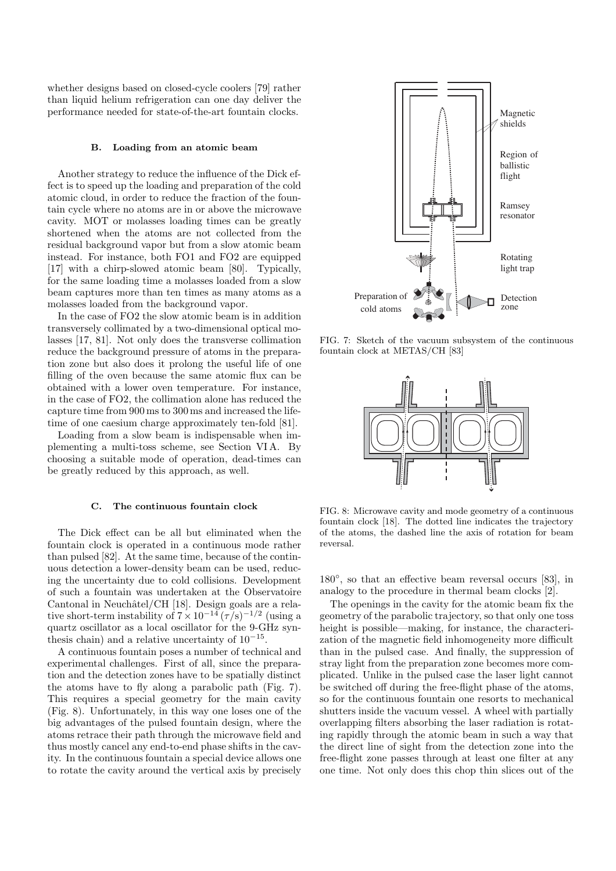whether designs based on closed-cycle coolers [79] rather than liquid helium refrigeration can one day deliver the performance needed for state-of-the-art fountain clocks.

#### **B. Loading from an atomic beam**

Another strategy to reduce the influence of the Dick effect is to speed up the loading and preparation of the cold atomic cloud, in order to reduce the fraction of the fountain cycle where no atoms are in or above the microwave cavity. MOT or molasses loading times can be greatly shortened when the atoms are not collected from the residual background vapor but from a slow atomic beam instead. For instance, both FO1 and FO2 are equipped [17] with a chirp-slowed atomic beam [80]. Typically, for the same loading time a molasses loaded from a slow beam captures more than ten times as many atoms as a molasses loaded from the background vapor.

In the case of FO2 the slow atomic beam is in addition transversely collimated by a two-dimensional optical molasses [17, 81]. Not only does the transverse collimation reduce the background pressure of atoms in the preparation zone but also does it prolong the useful life of one filling of the oven because the same atomic flux can be obtained with a lower oven temperature. For instance, in the case of FO2, the collimation alone has reduced the capture time from 900 ms to 300 ms and increased the lifetime of one caesium charge approximately ten-fold [81].

Loading from a slow beam is indispensable when implementing a multi-toss scheme, see Section VI A. By choosing a suitable mode of operation, dead-times can be greatly reduced by this approach, as well.

### **C. The continuous fountain clock**

The Dick effect can be all but eliminated when the fountain clock is operated in a continuous mode rather than pulsed [82]. At the same time, because of the continuous detection a lower-density beam can be used, reducing the uncertainty due to cold collisions. Development of such a fountain was undertaken at the Observatoire Cantonal in Neuchâtel/CH [18]. Design goals are a relative short-term instability of  $7 \times 10^{-14} (\tau/s)^{-1/2}$  (using a quartz oscillator as a local oscillator for the 9-GHz synthesis chain) and a relative uncertainty of  $10^{-15}$ .

A continuous fountain poses a number of technical and experimental challenges. First of all, since the preparation and the detection zones have to be spatially distinct the atoms have to fly along a parabolic path (Fig. 7). This requires a special geometry for the main cavity (Fig. 8). Unfortunately, in this way one loses one of the big advantages of the pulsed fountain design, where the atoms retrace their path through the microwave field and thus mostly cancel any end-to-end phase shifts in the cavity. In the continuous fountain a special device allows one to rotate the cavity around the vertical axis by precisely



FIG. 7: Sketch of the vacuum subsystem of the continuous fountain clock at METAS/CH [83]



FIG. 8: Microwave cavity and mode geometry of a continuous fountain clock [18]. The dotted line indicates the trajectory of the atoms, the dashed line the axis of rotation for beam reversal.

180◦, so that an effective beam reversal occurs [83], in analogy to the procedure in thermal beam clocks [2].

The openings in the cavity for the atomic beam fix the geometry of the parabolic trajectory, so that only one toss height is possible—making, for instance, the characterization of the magnetic field inhomogeneity more difficult than in the pulsed case. And finally, the suppression of stray light from the preparation zone becomes more complicated. Unlike in the pulsed case the laser light cannot be switched off during the free-flight phase of the atoms, so for the continuous fountain one resorts to mechanical shutters inside the vacuum vessel. A wheel with partially overlapping filters absorbing the laser radiation is rotating rapidly through the atomic beam in such a way that the direct line of sight from the detection zone into the free-flight zone passes through at least one filter at any one time. Not only does this chop thin slices out of the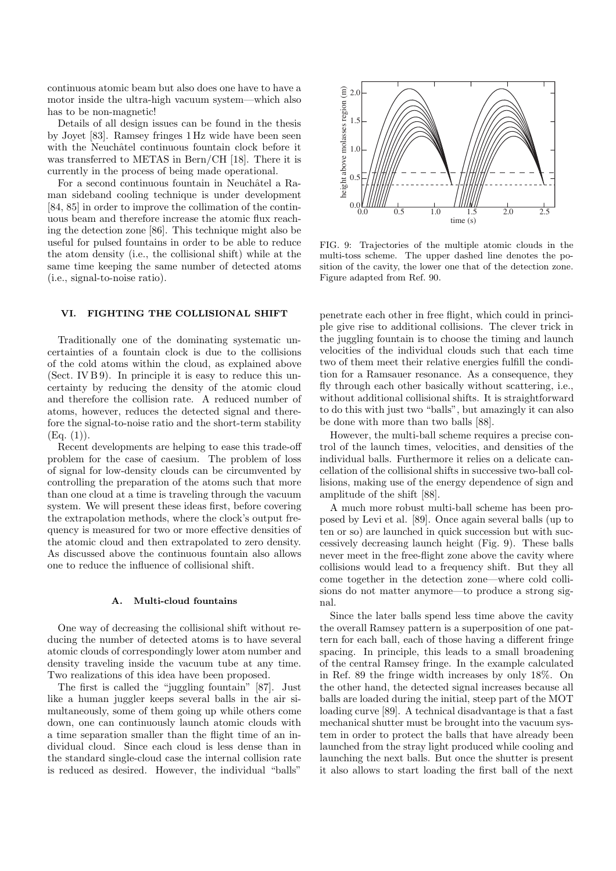continuous atomic beam but also does one have to have a motor inside the ultra-high vacuum system—which also has to be non-magnetic!

Details of all design issues can be found in the thesis by Joyet [83]. Ramsey fringes 1 Hz wide have been seen with the Neuchâtel continuous fountain clock before it was transferred to METAS in Bern/CH [18]. There it is currently in the process of being made operational.

For a second continuous fountain in Neuchâtel a Raman sideband cooling technique is under development [84, 85] in order to improve the collimation of the continuous beam and therefore increase the atomic flux reaching the detection zone [86]. This technique might also be useful for pulsed fountains in order to be able to reduce the atom density (i.e., the collisional shift) while at the same time keeping the same number of detected atoms (i.e., signal-to-noise ratio).

## **VI. FIGHTING THE COLLISIONAL SHIFT**

Traditionally one of the dominating systematic uncertainties of a fountain clock is due to the collisions of the cold atoms within the cloud, as explained above (Sect. IV  $B9$ ). In principle it is easy to reduce this uncertainty by reducing the density of the atomic cloud and therefore the collision rate. A reduced number of atoms, however, reduces the detected signal and therefore the signal-to-noise ratio and the short-term stability  $(Eq. (1)).$ 

Recent developments are helping to ease this trade-off problem for the case of caesium. The problem of loss of signal for low-density clouds can be circumvented by controlling the preparation of the atoms such that more than one cloud at a time is traveling through the vacuum system. We will present these ideas first, before covering the extrapolation methods, where the clock's output frequency is measured for two or more effective densities of the atomic cloud and then extrapolated to zero density. As discussed above the continuous fountain also allows one to reduce the influence of collisional shift.

### **A. Multi-cloud fountains**

One way of decreasing the collisional shift without reducing the number of detected atoms is to have several atomic clouds of correspondingly lower atom number and density traveling inside the vacuum tube at any time. Two realizations of this idea have been proposed.

The first is called the "juggling fountain" [87]. Just like a human juggler keeps several balls in the air simultaneously, some of them going up while others come down, one can continuously launch atomic clouds with a time separation smaller than the flight time of an individual cloud. Since each cloud is less dense than in the standard single-cloud case the internal collision rate is reduced as desired. However, the individual "balls"



FIG. 9: Trajectories of the multiple atomic clouds in the multi-toss scheme. The upper dashed line denotes the position of the cavity, the lower one that of the detection zone. Figure adapted from Ref. 90.

penetrate each other in free flight, which could in principle give rise to additional collisions. The clever trick in the juggling fountain is to choose the timing and launch velocities of the individual clouds such that each time two of them meet their relative energies fulfill the condition for a Ramsauer resonance. As a consequence, they fly through each other basically without scattering, i.e., without additional collisional shifts. It is straightforward to do this with just two "balls", but amazingly it can also be done with more than two balls [88].

However, the multi-ball scheme requires a precise control of the launch times, velocities, and densities of the individual balls. Furthermore it relies on a delicate cancellation of the collisional shifts in successive two-ball collisions, making use of the energy dependence of sign and amplitude of the shift [88].

A much more robust multi-ball scheme has been proposed by Levi et al. [89]. Once again several balls (up to ten or so) are launched in quick succession but with successively decreasing launch height (Fig. 9). These balls never meet in the free-flight zone above the cavity where collisions would lead to a frequency shift. But they all come together in the detection zone—where cold collisions do not matter anymore—to produce a strong signal.

Since the later balls spend less time above the cavity the overall Ramsey pattern is a superposition of one pattern for each ball, each of those having a different fringe spacing. In principle, this leads to a small broadening of the central Ramsey fringe. In the example calculated in Ref. 89 the fringe width increases by only 18%. On the other hand, the detected signal increases because all balls are loaded during the initial, steep part of the MOT loading curve [89]. A technical disadvantage is that a fast mechanical shutter must be brought into the vacuum system in order to protect the balls that have already been launched from the stray light produced while cooling and launching the next balls. But once the shutter is present it also allows to start loading the first ball of the next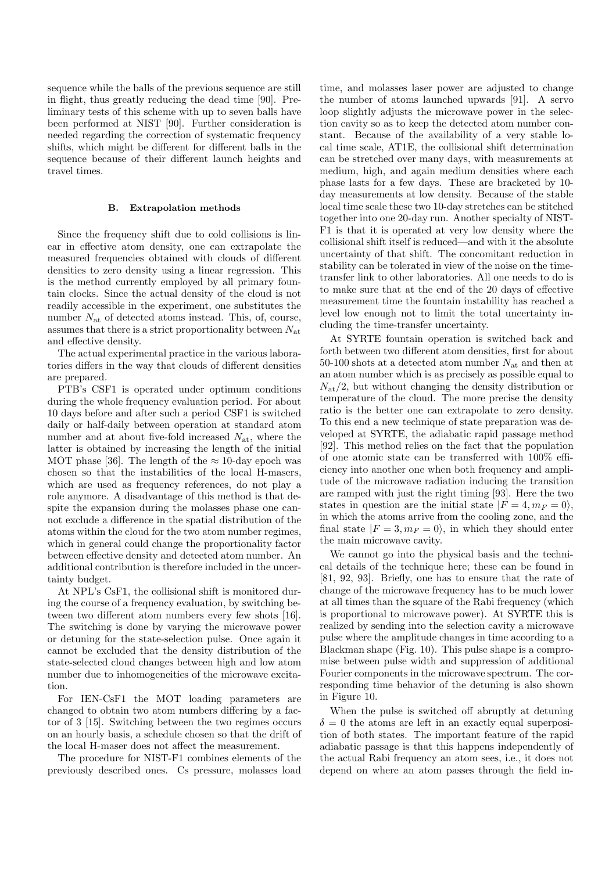sequence while the balls of the previous sequence are still in flight, thus greatly reducing the dead time [90]. Preliminary tests of this scheme with up to seven balls have been performed at NIST [90]. Further consideration is needed regarding the correction of systematic frequency shifts, which might be different for different balls in the sequence because of their different launch heights and travel times.

### **B. Extrapolation methods**

Since the frequency shift due to cold collisions is linear in effective atom density, one can extrapolate the measured frequencies obtained with clouds of different densities to zero density using a linear regression. This is the method currently employed by all primary fountain clocks. Since the actual density of the cloud is not readily accessible in the experiment, one substitutes the number  $N_{\text{at}}$  of detected atoms instead. This, of, course, assumes that there is a strict proportionality between  $N_{\text{at}}$ and effective density.

The actual experimental practice in the various laboratories differs in the way that clouds of different densities are prepared.

PTB's CSF1 is operated under optimum conditions during the whole frequency evaluation period. For about 10 days before and after such a period CSF1 is switched daily or half-daily between operation at standard atom number and at about five-fold increased  $N_{\text{at}}$ , where the latter is obtained by increasing the length of the initial MOT phase [36]. The length of the  $\approx 10$ -day epoch was chosen so that the instabilities of the local H-masers, which are used as frequency references, do not play a role anymore. A disadvantage of this method is that despite the expansion during the molasses phase one cannot exclude a difference in the spatial distribution of the atoms within the cloud for the two atom number regimes, which in general could change the proportionality factor between effective density and detected atom number. An additional contribution is therefore included in the uncertainty budget.

At NPL's CsF1, the collisional shift is monitored during the course of a frequency evaluation, by switching between two different atom numbers every few shots [16]. The switching is done by varying the microwave power or detuning for the state-selection pulse. Once again it cannot be excluded that the density distribution of the state-selected cloud changes between high and low atom number due to inhomogeneities of the microwave excitation.

For IEN-CsF1 the MOT loading parameters are changed to obtain two atom numbers differing by a factor of 3 [15]. Switching between the two regimes occurs on an hourly basis, a schedule chosen so that the drift of the local H-maser does not affect the measurement.

The procedure for NIST-F1 combines elements of the previously described ones. Cs pressure, molasses load time, and molasses laser power are adjusted to change the number of atoms launched upwards [91]. A servo loop slightly adjusts the microwave power in the selection cavity so as to keep the detected atom number constant. Because of the availability of a very stable local time scale, AT1E, the collisional shift determination can be stretched over many days, with measurements at medium, high, and again medium densities where each phase lasts for a few days. These are bracketed by 10 day measurements at low density. Because of the stable local time scale these two 10-day stretches can be stitched together into one 20-day run. Another specialty of NIST-F1 is that it is operated at very low density where the collisional shift itself is reduced—and with it the absolute uncertainty of that shift. The concomitant reduction in stability can be tolerated in view of the noise on the timetransfer link to other laboratories. All one needs to do is to make sure that at the end of the 20 days of effective measurement time the fountain instability has reached a level low enough not to limit the total uncertainty including the time-transfer uncertainty.

At SYRTE fountain operation is switched back and forth between two different atom densities, first for about 50-100 shots at a detected atom number  $N_{\text{at}}$  and then at an atom number which is as precisely as possible equal to  $N_{\rm at}/2$ , but without changing the density distribution or temperature of the cloud. The more precise the density ratio is the better one can extrapolate to zero density. To this end a new technique of state preparation was developed at SYRTE, the adiabatic rapid passage method [92]. This method relies on the fact that the population of one atomic state can be transferred with 100% efficiency into another one when both frequency and amplitude of the microwave radiation inducing the transition are ramped with just the right timing [93]. Here the two states in question are the initial state  $|F = 4, m_F = 0\rangle$ , in which the atoms arrive from the cooling zone, and the final state  $|F = 3, m_F = 0\rangle$ , in which they should enter the main microwave cavity.

We cannot go into the physical basis and the technical details of the technique here; these can be found in [81, 92, 93]. Briefly, one has to ensure that the rate of change of the microwave frequency has to be much lower at all times than the square of the Rabi frequency (which is proportional to microwave power). At SYRTE this is realized by sending into the selection cavity a microwave pulse where the amplitude changes in time according to a Blackman shape (Fig. 10). This pulse shape is a compromise between pulse width and suppression of additional Fourier components in the microwave spectrum. The corresponding time behavior of the detuning is also shown in Figure 10.

When the pulse is switched off abruptly at detuning  $\delta = 0$  the atoms are left in an exactly equal superposition of both states. The important feature of the rapid adiabatic passage is that this happens independently of the actual Rabi frequency an atom sees, i.e., it does not depend on where an atom passes through the field in-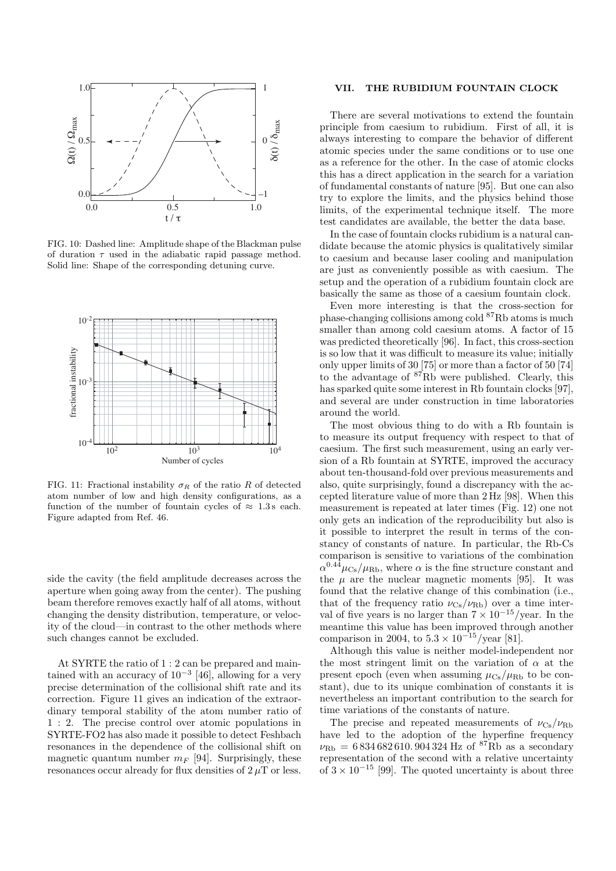

FIG. 10: Dashed line: Amplitude shape of the Blackman pulse of duration  $\tau$  used in the adiabatic rapid passage method. Solid line: Shape of the corresponding detuning curve.



FIG. 11: Fractional instability  $\sigma_R$  of the ratio R of detected atom number of low and high density configurations, as a function of the number of fountain cycles of  $\approx 1.3$  s each. Figure adapted from Ref. 46.

side the cavity (the field amplitude decreases across the aperture when going away from the center). The pushing beam therefore removes exactly half of all atoms, without changing the density distribution, temperature, or velocity of the cloud—in contrast to the other methods where such changes cannot be excluded.

At SYRTE the ratio of 1 : 2 can be prepared and maintained with an accuracy of  $10^{-3}$  [46], allowing for a very precise determination of the collisional shift rate and its correction. Figure 11 gives an indication of the extraordinary temporal stability of the atom number ratio of 1 : 2. The precise control over atomic populations in SYRTE-FO2 has also made it possible to detect Feshbach resonances in the dependence of the collisional shift on magnetic quantum number  $m_F$  [94]. Surprisingly, these resonances occur already for flux densities of  $2 \mu T$  or less.

### **VII. THE RUBIDIUM FOUNTAIN CLOCK**

There are several motivations to extend the fountain principle from caesium to rubidium. First of all, it is always interesting to compare the behavior of different atomic species under the same conditions or to use one as a reference for the other. In the case of atomic clocks this has a direct application in the search for a variation of fundamental constants of nature [95]. But one can also try to explore the limits, and the physics behind those limits, of the experimental technique itself. The more test candidates are available, the better the data base.

In the case of fountain clocks rubidium is a natural candidate because the atomic physics is qualitatively similar to caesium and because laser cooling and manipulation are just as conveniently possible as with caesium. The setup and the operation of a rubidium fountain clock are basically the same as those of a caesium fountain clock.

Even more interesting is that the cross-section for phase-changing collisions among cold <sup>87</sup>Rb atoms is much smaller than among cold caesium atoms. A factor of 15 was predicted theoretically [96]. In fact, this cross-section is so low that it was difficult to measure its value; initially only upper limits of 30 [75] or more than a factor of 50 [74] to the advantage of <sup>87</sup>Rb were published. Clearly, this has sparked quite some interest in Rb fountain clocks [97], and several are under construction in time laboratories around the world.

The most obvious thing to do with a Rb fountain is to measure its output frequency with respect to that of caesium. The first such measurement, using an early version of a Rb fountain at SYRTE, improved the accuracy about ten-thousand-fold over previous measurements and also, quite surprisingly, found a discrepancy with the accepted literature value of more than 2 Hz [98]. When this measurement is repeated at later times (Fig. 12) one not only gets an indication of the reproducibility but also is it possible to interpret the result in terms of the constancy of constants of nature. In particular, the Rb-Cs comparison is sensitive to variations of the combination  $\alpha^{0.44} \mu_{\text{Cs}}/\mu_{\text{Rb}}$ , where  $\alpha$  is the fine structure constant and the  $\mu$  are the nuclear magnetic moments [95]. It was found that the relative change of this combination (i.e., that of the frequency ratio  $\nu_{\text{Cs}}/\nu_{\text{Rb}}$  over a time interval of five years is no larger than  $7 \times 10^{-15}/\text{year}$ . In the meantime this value has been improved through another comparison in 2004, to  $5.3 \times 10^{-15}$ /year [81].

Although this value is neither model-independent nor the most stringent limit on the variation of  $\alpha$  at the present epoch (even when assuming  $\mu_{\text{Cs}}/\mu_{\text{Rb}}$  to be constant), due to its unique combination of constants it is nevertheless an important contribution to the search for time variations of the constants of nature.

The precise and repeated measurements of  $\nu_{\text{Cs}}/\nu_{\text{Rb}}$ have led to the adoption of the hyperfine frequency  $\nu_{\text{Rb}} = 6834682610.904324 \text{ Hz of } ^{87}\text{Rb as a secondary}$ representation of the second with a relative uncertainty of  $3 \times 10^{-15}$  [99]. The quoted uncertainty is about three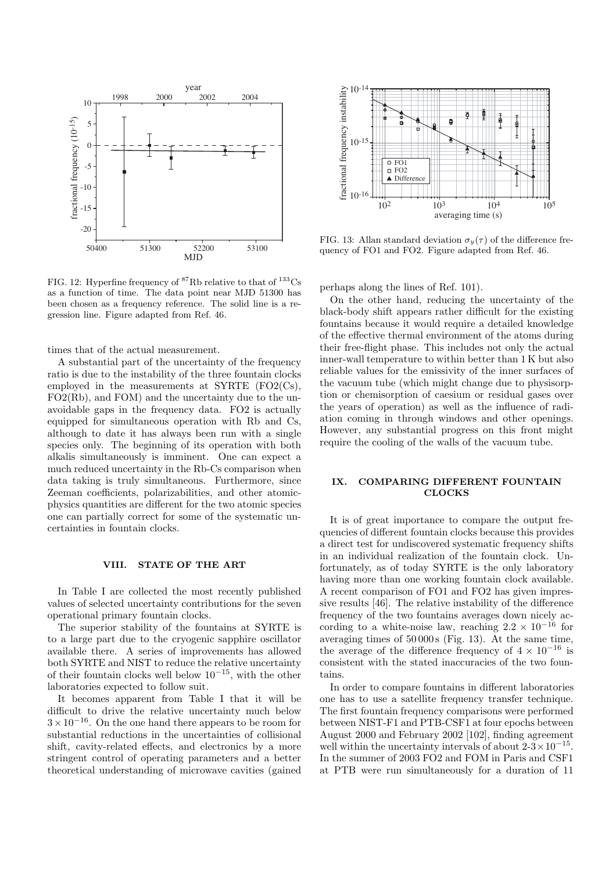

FIG. 12: Hyperfine frequency of  ${}^{87}Rb$  relative to that of  ${}^{133}Cs$ as a function of time. The data point near MJD 51300 has been chosen as a frequency reference. The solid line is a regression line. Figure adapted from Ref. 46.

times that of the actual measurement.

A substantial part of the uncertainty of the frequency ratio is due to the instability of the three fountain clocks employed in the measurements at SYRTE (FO2(Cs), FO2(Rb), and FOM) and the uncertainty due to the unavoidable gaps in the frequency data. FO2 is actually equipped for simultaneous operation with Rb and Cs, although to date it has always been run with a single species only. The beginning of its operation with both alkalis simultaneously is imminent. One can expect a much reduced uncertainty in the Rb-Cs comparison when data taking is truly simultaneous. Furthermore, since Zeeman coefficients, polarizabilities, and other atomicphysics quantities are different for the two atomic species one can partially correct for some of the systematic uncertainties in fountain clocks.

# **VIII. STATE OF THE ART**

In Table I are collected the most recently published values of selected uncertainty contributions for the seven operational primary fountain clocks.

The superior stability of the fountains at SYRTE is to a large part due to the cryogenic sapphire oscillator available there. A series of improvements has allowed both SYRTE and NIST to reduce the relative uncertainty of their fountain clocks well below  $10^{-15}$ , with the other laboratories expected to follow suit.

It becomes apparent from Table I that it will be difficult to drive the relative uncertainty much below  $3\times10^{-16}.$  On the one hand there appears to be room for substantial reductions in the uncertainties of collisional shift, cavity-related effects, and electronics by a more stringent control of operating parameters and a better theoretical understanding of microwave cavities (gained



FIG. 13: Allan standard deviation  $\sigma_y(\tau)$  of the difference frequency of FO1 and FO2. Figure adapted from Ref. 46.

perhaps along the lines of Ref. 101).

On the other hand, reducing the uncertainty of the black-body shift appears rather difficult for the existing fountains because it would require a detailed knowledge of the effective thermal environment of the atoms during their free-flight phase. This includes not only the actual inner-wall temperature to within better than 1 K but also reliable values for the emissivity of the inner surfaces of the vacuum tube (which might change due to physisorption or chemisorption of caesium or residual gases over the years of operation) as well as the influence of radiation coming in through windows and other openings. However, any substantial progress on this front might require the cooling of the walls of the vacuum tube.

## **IX. COMPARING DIFFERENT FOUNTAIN CLOCKS**

It is of great importance to compare the output frequencies of different fountain clocks because this provides a direct test for undiscovered systematic frequency shifts in an individual realization of the fountain clock. Unfortunately, as of today SYRTE is the only laboratory having more than one working fountain clock available. A recent comparison of FO1 and FO2 has given impressive results [46]. The relative instability of the difference frequency of the two fountains averages down nicely according to a white-noise law, reaching  $2.2 \times 10^{-16}$  for averaging times of  $50000s$  (Fig. 13). At the same time, the average of the difference frequency of  $4 \times 10^{-16}$  is consistent with the stated inaccuracies of the two fountains.

In order to compare fountains in different laboratories one has to use a satellite frequency transfer technique. The first fountain frequency comparisons were performed between NIST-F1 and PTB-CSF1 at four epochs between August 2000 and February 2002 [102], finding agreement well within the uncertainty intervals of about  $2-3\times10^{-15}$ . In the summer of 2003 FO2 and FOM in Paris and CSF1 at PTB were run simultaneously for a duration of 11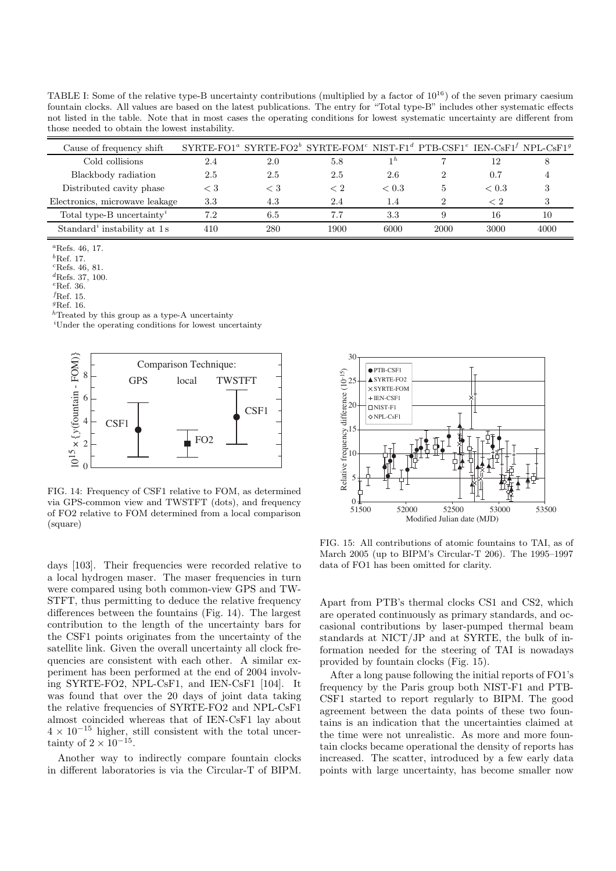TABLE I: Some of the relative type-B uncertainty contributions (multiplied by a factor of  $10^{16}$ ) of the seven primary caesium fountain clocks. All values are based on the latest publications. The entry for "Total type-B" includes other systematic effects not listed in the table. Note that in most cases the operating conditions for lowest systematic uncertainty are different from those needed to obtain the lowest instability.

| Cause of frequency shift              |     |         | $\text{SYRTE-FO1}^a$ $\text{SYRTE-FO2}^b$ $\text{SYRTE-FOM}^c$ $\text{NIST-F1}^d$ $\text{PTB-CSF1}^e$ $\text{IEN-CsF1}^f$ $\text{NPL-CsF1}^g$ |                 |      |       |      |
|---------------------------------------|-----|---------|-----------------------------------------------------------------------------------------------------------------------------------------------|-----------------|------|-------|------|
| Cold collisions                       | 2.4 | 2.0     | 5.8                                                                                                                                           |                 |      | 12    |      |
| Blackbody radiation                   | 2.5 | 2.5     | 2.5                                                                                                                                           | 2.6             |      | 0.7   |      |
| Distributed cavity phase              | € 3 | $< 3\,$ |                                                                                                                                               | ${}_{\leq 0.3}$ | 5    | < 0.3 |      |
| Electronics, microwave leakage        | 3.3 | 4.3     | 2.4                                                                                                                                           | 1.4             |      | < 2   |      |
| Total type-B uncertainty <sup>2</sup> | 7.2 | 6.5     |                                                                                                                                               | 3.3             |      | 16    | 10   |
| Standard' instability at 1s           | 410 | 280     | 1900                                                                                                                                          | 6000            | 2000 | 3000  | 4000 |

<sup>a</sup>Refs. 46, 17.

 ${}^b$ Ref. 17.

 ${}^{c}$ Refs. 46, 81.

 ${}^{d}$ Refs. 37, 100.  $e$ Ref. 36.

 $f$ Ref. 15.

<sup>g</sup>Ref. 16.

 $\ensuremath{^h\text{T}}$  reated by this group as a type-A uncertainty

<sup>i</sup>Under the operating conditions for lowest uncertainty



FIG. 14: Frequency of CSF1 relative to FOM, as determined via GPS-common view and TWSTFT (dots), and frequency of FO2 relative to FOM determined from a local comparison (square)

days [103]. Their frequencies were recorded relative to a local hydrogen maser. The maser frequencies in turn were compared using both common-view GPS and TW-STFT, thus permitting to deduce the relative frequency differences between the fountains (Fig. 14). The largest contribution to the length of the uncertainty bars for the CSF1 points originates from the uncertainty of the satellite link. Given the overall uncertainty all clock frequencies are consistent with each other. A similar experiment has been performed at the end of 2004 involving SYRTE-FO2, NPL-CsF1, and IEN-CsF1 [104]. It was found that over the 20 days of joint data taking the relative frequencies of SYRTE-FO2 and NPL-CsF1 almost coincided whereas that of IEN-CsF1 lay about  $4 \times 10^{-15}$  higher, still consistent with the total uncertainty of  $2 \times 10^{-15}$ .

Another way to indirectly compare fountain clocks in different laboratories is via the Circular-T of BIPM.



FIG. 15: All contributions of atomic fountains to TAI, as of March 2005 (up to BIPM's Circular-T 206). The 1995–1997 data of FO1 has been omitted for clarity.

Apart from PTB's thermal clocks CS1 and CS2, which are operated continuously as primary standards, and occasional contributions by laser-pumped thermal beam standards at NICT/JP and at SYRTE, the bulk of information needed for the steering of TAI is nowadays provided by fountain clocks (Fig. 15).

After a long pause following the initial reports of FO1's frequency by the Paris group both NIST-F1 and PTB-CSF1 started to report regularly to BIPM. The good agreement between the data points of these two fountains is an indication that the uncertainties claimed at the time were not unrealistic. As more and more fountain clocks became operational the density of reports has increased. The scatter, introduced by a few early data points with large uncertainty, has become smaller now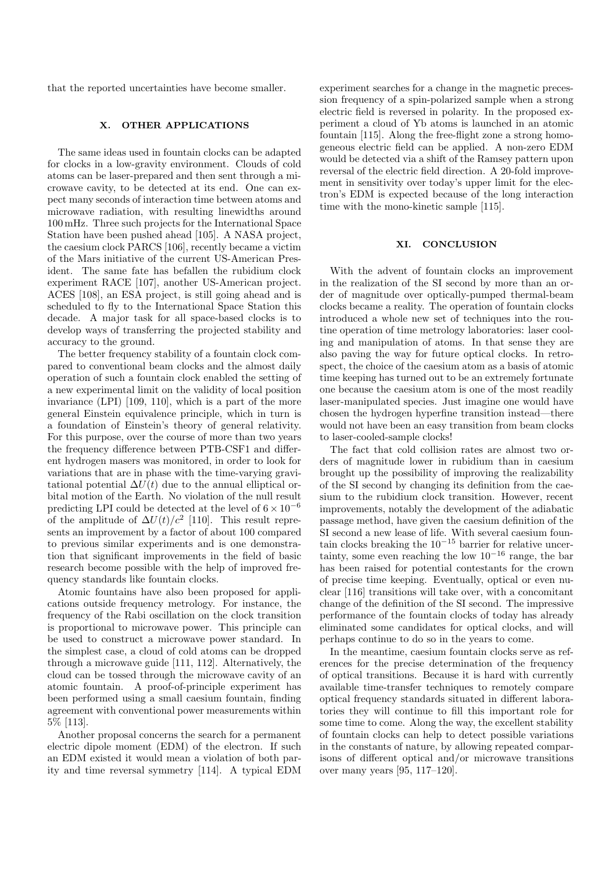that the reported uncertainties have become smaller.

## **X. OTHER APPLICATIONS**

The same ideas used in fountain clocks can be adapted for clocks in a low-gravity environment. Clouds of cold atoms can be laser-prepared and then sent through a microwave cavity, to be detected at its end. One can expect many seconds of interaction time between atoms and microwave radiation, with resulting linewidths around 100 mHz. Three such projects for the International Space Station have been pushed ahead [105]. A NASA project, the caesium clock PARCS [106], recently became a victim of the Mars initiative of the current US-American President. The same fate has befallen the rubidium clock experiment RACE [107], another US-American project. ACES [108], an ESA project, is still going ahead and is scheduled to fly to the International Space Station this decade. A major task for all space-based clocks is to develop ways of transferring the projected stability and accuracy to the ground.

The better frequency stability of a fountain clock compared to conventional beam clocks and the almost daily operation of such a fountain clock enabled the setting of a new experimental limit on the validity of local position invariance (LPI) [109, 110], which is a part of the more general Einstein equivalence principle, which in turn is a foundation of Einstein's theory of general relativity. For this purpose, over the course of more than two years the frequency difference between PTB-CSF1 and different hydrogen masers was monitored, in order to look for variations that are in phase with the time-varying gravitational potential  $\Delta U(t)$  due to the annual elliptical orbital motion of the Earth. No violation of the null result predicting LPI could be detected at the level of  $6 \times 10^{-6}$ of the amplitude of  $\Delta U(t)/c^2$  [110]. This result represents an improvement by a factor of about 100 compared to previous similar experiments and is one demonstration that significant improvements in the field of basic research become possible with the help of improved frequency standards like fountain clocks.

Atomic fountains have also been proposed for applications outside frequency metrology. For instance, the frequency of the Rabi oscillation on the clock transition is proportional to microwave power. This principle can be used to construct a microwave power standard. In the simplest case, a cloud of cold atoms can be dropped through a microwave guide [111, 112]. Alternatively, the cloud can be tossed through the microwave cavity of an atomic fountain. A proof-of-principle experiment has been performed using a small caesium fountain, finding agreement with conventional power measurements within 5% [113].

Another proposal concerns the search for a permanent electric dipole moment (EDM) of the electron. If such an EDM existed it would mean a violation of both parity and time reversal symmetry [114]. A typical EDM experiment searches for a change in the magnetic precession frequency of a spin-polarized sample when a strong electric field is reversed in polarity. In the proposed experiment a cloud of Yb atoms is launched in an atomic fountain [115]. Along the free-flight zone a strong homogeneous electric field can be applied. A non-zero EDM would be detected via a shift of the Ramsey pattern upon reversal of the electric field direction. A 20-fold improvement in sensitivity over today's upper limit for the electron's EDM is expected because of the long interaction time with the mono-kinetic sample [115].

## **XI. CONCLUSION**

With the advent of fountain clocks an improvement in the realization of the SI second by more than an order of magnitude over optically-pumped thermal-beam clocks became a reality. The operation of fountain clocks introduced a whole new set of techniques into the routine operation of time metrology laboratories: laser cooling and manipulation of atoms. In that sense they are also paving the way for future optical clocks. In retrospect, the choice of the caesium atom as a basis of atomic time keeping has turned out to be an extremely fortunate one because the caesium atom is one of the most readily laser-manipulated species. Just imagine one would have chosen the hydrogen hyperfine transition instead—there would not have been an easy transition from beam clocks to laser-cooled-sample clocks!

The fact that cold collision rates are almost two orders of magnitude lower in rubidium than in caesium brought up the possibility of improving the realizability of the SI second by changing its definition from the caesium to the rubidium clock transition. However, recent improvements, notably the development of the adiabatic passage method, have given the caesium definition of the SI second a new lease of life. With several caesium fountain clocks breaking the  $10^{-15}$  barrier for relative uncertainty, some even reaching the low  $10^{-16}$  range, the bar has been raised for potential contestants for the crown of precise time keeping. Eventually, optical or even nuclear [116] transitions will take over, with a concomitant change of the definition of the SI second. The impressive performance of the fountain clocks of today has already eliminated some candidates for optical clocks, and will perhaps continue to do so in the years to come.

In the meantime, caesium fountain clocks serve as references for the precise determination of the frequency of optical transitions. Because it is hard with currently available time-transfer techniques to remotely compare optical frequency standards situated in different laboratories they will continue to fill this important role for some time to come. Along the way, the excellent stability of fountain clocks can help to detect possible variations in the constants of nature, by allowing repeated comparisons of different optical and/or microwave transitions over many years [95, 117–120].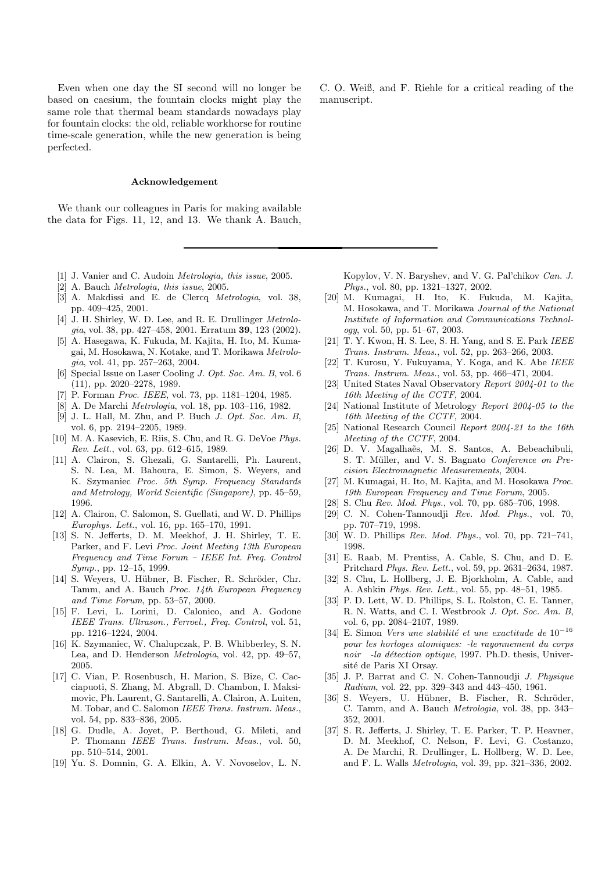Even when one day the SI second will no longer be based on caesium, the fountain clocks might play the same role that thermal beam standards nowadays play for fountain clocks: the old, reliable workhorse for routine time-scale generation, while the new generation is being perfected.

#### **Acknowledgement**

We thank our colleagues in Paris for making available the data for Figs. 11, 12, and 13. We thank A. Bauch,

- [1] J. Vanier and C. Audoin *Metrologia*, this issue, 2005.
- [2] A. Bauch Metrologia, this issue, 2005.
- [3] A. Makdissi and E. de Clercq Metrologia, vol. 38, pp. 409–425, 2001.
- [4] J. H. Shirley, W. D. Lee, and R. E. Drullinger *Metrolo*gia, vol. 38, pp. 427–458, 2001. Erratum **39**, 123 (2002).
- [5] A. Hasegawa, K. Fukuda, M. Kajita, H. Ito, M. Kumagai, M. Hosokawa, N. Kotake, and T. Morikawa Metrologia, vol. 41, pp. 257–263, 2004.
- [6] Special Issue on Laser Cooling J. Opt. Soc. Am. B, vol. 6 (11), pp. 2020–2278, 1989.
- [7] P. Forman *Proc. IEEE*, vol. 73, pp. 1181–1204, 1985.
- [8] A. De Marchi Metrologia, vol. 18, pp. 103–116, 1982.
- [9] J. L. Hall, M. Zhu, and P. Buch J. Opt. Soc. Am. B, vol. 6, pp. 2194–2205, 1989.
- [10] M. A. Kasevich, E. Riis, S. Chu, and R. G. DeVoe Phys. Rev. Lett., vol. 63, pp. 612–615, 1989.
- [11] A. Clairon, S. Ghezali, G. Santarelli, Ph. Laurent, S. N. Lea, M. Bahoura, E. Simon, S. Weyers, and K. Szymaniec Proc. 5th Symp. Frequency Standards and Metrology, World Scientific (Singapore), pp. 45–59, 1996.
- [12] A. Clairon, C. Salomon, S. Guellati, and W. D. Phillips Europhys. Lett., vol. 16, pp. 165–170, 1991.
- [13] S. N. Jefferts, D. M. Meekhof, J. H. Shirley, T. E. Parker, and F. Levi Proc. Joint Meeting 13th European Frequency and Time Forum – IEEE Int. Freq. Control Symp., pp. 12–15, 1999.
- [14] S. Weyers, U. Hübner, B. Fischer, R. Schröder, Chr. Tamm, and A. Bauch Proc. 14th European Frequency and Time Forum, pp. 53–57, 2000.
- [15] F. Levi, L. Lorini, D. Calonico, and A. Godone IEEE Trans. Ultrason., Ferroel., Freq. Control, vol. 51, pp. 1216–1224, 2004.
- [16] K. Szymaniec, W. Chalupczak, P. B. Whibberley, S. N. Lea, and D. Henderson Metrologia, vol. 42, pp. 49–57, 2005.
- [17] C. Vian, P. Rosenbusch, H. Marion, S. Bize, C. Cacciapuoti, S. Zhang, M. Abgrall, D. Chambon, I. Maksimovic, Ph. Laurent, G. Santarelli, A. Clairon, A. Luiten, M. Tobar, and C. Salomon IEEE Trans. Instrum. Meas., vol. 54, pp. 833–836, 2005.
- [18] G. Dudle, A. Joyet, P. Berthoud, G. Mileti, and P. Thomann IEEE Trans. Instrum. Meas., vol. 50, pp. 510–514, 2001.
- [19] Yu. S. Domnin, G. A. Elkin, A. V. Novoselov, L. N.

C. O. Weiß, and F. Riehle for a critical reading of the manuscript.

Kopylov, V. N. Baryshev, and V. G. Pal'chikov Can. J. Phys., vol. 80, pp. 1321–1327, 2002.

- [20] M. Kumagai, H. Ito, K. Fukuda, M. Kajita, M. Hosokawa, and T. Morikawa Journal of the National Institute of Information and Communications Technology, vol. 50, pp. 51–67, 2003.
- [21] T. Y. Kwon, H. S. Lee, S. H. Yang, and S. E. Park IEEE Trans. Instrum. Meas., vol. 52, pp. 263–266, 2003.
- [22] T. Kurosu, Y. Fukuyama, Y. Koga, and K. Abe IEEE Trans. Instrum. Meas., vol. 53, pp. 466–471, 2004.
- [23] United States Naval Observatory Report 2004-01 to the 16th Meeting of the CCTF, 2004.
- [24] National Institute of Metrology Report 2004-05 to the 16th Meeting of the CCTF, 2004.
- [25] National Research Council Report 2004-21 to the 16th Meeting of the CCTF, 2004.
- [26] D. V. Magalhaẽs, M. S. Santos, A. Bebeachibuli, S. T. Müller, and V. S. Bagnato Conference on Precision Electromagnetic Measurements, 2004.
- [27] M. Kumagai, H. Ito, M. Kajita, and M. Hosokawa Proc. 19th European Frequency and Time Forum, 2005.
- [28] S. Chu Rev. Mod. Phys., vol. 70, pp. 685–706, 1998.
- [29] C. N. Cohen-Tannoudji Rev. Mod. Phys., vol. 70, pp. 707–719, 1998.
- [30] W. D. Phillips Rev. Mod. Phys., vol. 70, pp. 721–741, 1998.
- [31] E. Raab, M. Prentiss, A. Cable, S. Chu, and D. E. Pritchard Phys. Rev. Lett., vol. 59, pp. 2631–2634, 1987.
- [32] S. Chu, L. Hollberg, J. E. Bjorkholm, A. Cable, and A. Ashkin Phys. Rev. Lett., vol. 55, pp. 48–51, 1985.
- [33] P. D. Lett, W. D. Phillips, S. L. Rolston, C. E. Tanner, R. N. Watts, and C. I. Westbrook J. Opt. Soc. Am. B, vol. 6, pp. 2084–2107, 1989.
- [34] E. Simon Vers une stabilité et une exactitude de  $10^{-16}$ pour les horloges atomiques: -le rayonnement du corps noir -la détection optique, 1997. Ph.D. thesis, Université de Paris XI Orsay.
- [35] J. P. Barrat and C. N. Cohen-Tannoudji J. Physique Radium, vol. 22, pp. 329–343 and 443–450, 1961.
- [36] S. Weyers, U. Hübner, B. Fischer, R. Schröder, C. Tamm, and A. Bauch Metrologia, vol. 38, pp. 343– 352, 2001.
- [37] S. R. Jefferts, J. Shirley, T. E. Parker, T. P. Heavner, D. M. Meekhof, C. Nelson, F. Levi, G. Costanzo, A. De Marchi, R. Drullinger, L. Hollberg, W. D. Lee, and F. L. Walls Metrologia, vol. 39, pp. 321–336, 2002.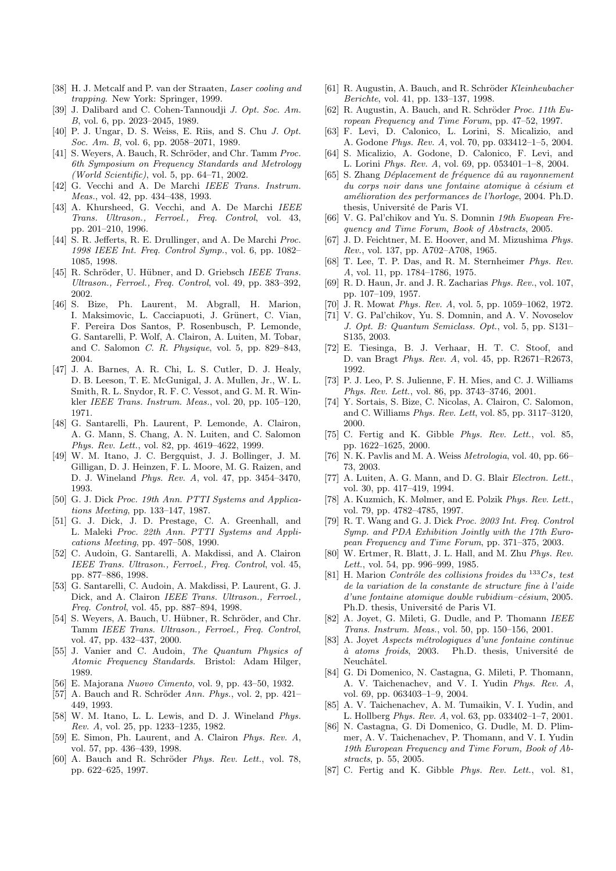- [38] H. J. Metcalf and P. van der Straaten, Laser cooling and trapping. New York: Springer, 1999.
- [39] J. Dalibard and C. Cohen-Tannoudji J. Opt. Soc. Am. B, vol. 6, pp. 2023–2045, 1989.
- [40] P. J. Ungar, D. S. Weiss, E. Riis, and S. Chu J. Opt. Soc. Am. B, vol. 6, pp. 2058–2071, 1989.
- [41] S. Weyers, A. Bauch, R. Schröder, and Chr. Tamm Proc. 6th Symposium on Frequency Standards and Metrology (World Scientific), vol. 5, pp. 64–71, 2002.
- [42] G. Vecchi and A. De Marchi IEEE Trans. Instrum. Meas., vol. 42, pp. 434–438, 1993.
- [43] A. Khursheed, G. Vecchi, and A. De Marchi IEEE Trans. Ultrason., Ferroel., Freq. Control, vol. 43, pp. 201–210, 1996.
- [44] S. R. Jefferts, R. E. Drullinger, and A. De Marchi Proc. 1998 IEEE Int. Freq. Control Symp., vol. 6, pp. 1082– 1085, 1998.
- [45] R. Schröder, U. Hübner, and D. Griebsch IEEE Trans. Ultrason., Ferroel., Freq. Control, vol. 49, pp. 383–392, 2002.
- [46] S. Bize, Ph. Laurent, M. Abgrall, H. Marion, I. Maksimovic, L. Cacciapuoti, J. Grünert, C. Vian, F. Pereira Dos Santos, P. Rosenbusch, P. Lemonde, G. Santarelli, P. Wolf, A. Clairon, A. Luiten, M. Tobar, and C. Salomon C. R. Physique, vol. 5, pp. 829–843, 2004.
- [47] J. A. Barnes, A. R. Chi, L. S. Cutler, D. J. Healy, D. B. Leeson, T. E. McGunigal, J. A. Mullen, Jr., W. L. Smith, R. L. Snydor, R. F. C. Vessot, and G. M. R. Winkler IEEE Trans. Instrum. Meas., vol. 20, pp. 105–120, 1971.
- [48] G. Santarelli, Ph. Laurent, P. Lemonde, A. Clairon, A. G. Mann, S. Chang, A. N. Luiten, and C. Salomon Phys. Rev. Lett., vol. 82, pp. 4619–4622, 1999.
- [49] W. M. Itano, J. C. Bergquist, J. J. Bollinger, J. M. Gilligan, D. J. Heinzen, F. L. Moore, M. G. Raizen, and D. J. Wineland Phys. Rev. A, vol. 47, pp. 3454–3470, 1993.
- [50] G. J. Dick Proc. 19th Ann. PTTI Systems and Applications Meeting, pp. 133–147, 1987.
- [51] G. J. Dick, J. D. Prestage, C. A. Greenhall, and L. Maleki Proc. 22th Ann. PTTI Systems and Applications Meeting, pp. 497–508, 1990.
- [52] C. Audoin, G. Santarelli, A. Makdissi, and A. Clairon IEEE Trans. Ultrason., Ferroel., Freq. Control, vol. 45, pp. 877–886, 1998.
- [53] G. Santarelli, C. Audoin, A. Makdissi, P. Laurent, G. J. Dick, and A. Clairon IEEE Trans. Ultrason., Ferroel., Freq. Control, vol. 45, pp. 887–894, 1998.
- [54] S. Weyers, A. Bauch, U. Hübner, R. Schröder, and Chr. Tamm IEEE Trans. Ultrason., Ferroel., Freq. Control, vol. 47, pp. 432–437, 2000.
- [55] J. Vanier and C. Audoin, The Quantum Physics of Atomic Frequency Standards. Bristol: Adam Hilger, 1989.
- [56] E. Majorana Nuovo Cimento, vol. 9, pp. 43–50, 1932.
- [57] A. Bauch and R. Schröder Ann. Phys., vol. 2, pp. 421-449, 1993.
- [58] W. M. Itano, L. L. Lewis, and D. J. Wineland Phys. Rev. A, vol. 25, pp. 1233–1235, 1982.
- [59] E. Simon, Ph. Laurent, and A. Clairon Phys. Rev. A, vol. 57, pp. 436–439, 1998.
- [60] A. Bauch and R. Schröder Phys. Rev. Lett., vol. 78, pp. 622–625, 1997.
- [61] R. Augustin, A. Bauch, and R. Schröder Kleinheubacher Berichte, vol. 41, pp. 133–137, 1998.
- [62] R. Augustin, A. Bauch, and R. Schröder Proc. 11th  $Eu$ ropean Frequency and Time Forum, pp. 47–52, 1997.
- [63] F. Levi, D. Calonico, L. Lorini, S. Micalizio, and A. Godone Phys. Rev. A, vol. 70, pp. 033412–1–5, 2004.
- [64] S. Micalizio, A. Godone, D. Calonico, F. Levi, and L. Lorini Phys. Rev. A, vol. 69, pp. 053401–1–8, 2004.
- $[65]$  S. Zhang *Déplacement de fréquence dû au rayonnement*  $du$  corps noir dans une fontaine atomique  $\dot{a}$  césium et amélioration des performances de l'horloge, 2004. Ph.D. thesis, Université de Paris VI.
- [66] V. G. Pal'chikov and Yu. S. Domnin 19th Euopean Frequency and Time Forum, Book of Abstracts, 2005.
- [67] J. D. Feichtner, M. E. Hoover, and M. Mizushima Phys. Rev., vol. 137, pp. A702–A708, 1965.
- [68] T. Lee, T. P. Das, and R. M. Sternheimer Phys. Rev. A, vol. 11, pp. 1784–1786, 1975.
- [69] R. D. Haun, Jr. and J. R. Zacharias Phys. Rev., vol. 107, pp. 107–109, 1957.
- [70] J. R. Mowat Phys. Rev. A, vol. 5, pp. 1059–1062, 1972.
- [71] V. G. Pal'chikov, Yu. S. Domnin, and A. V. Novoselov J. Opt. B: Quantum Semiclass. Opt., vol. 5, pp. S131– S135, 2003.
- [72] E. Tiesinga, B. J. Verhaar, H. T. C. Stoof, and D. van Bragt Phys. Rev. A, vol. 45, pp. R2671–R2673, 1992.
- [73] P. J. Leo, P. S. Julienne, F. H. Mies, and C. J. Williams Phys. Rev. Lett., vol. 86, pp. 3743–3746, 2001.
- [74] Y. Sortais, S. Bize, C. Nicolas, A. Clairon, C. Salomon, and C. Williams Phys. Rev. Lett, vol. 85, pp. 3117–3120, 2000.
- [75] C. Fertig and K. Gibble *Phys. Rev. Lett.*, vol. 85, pp. 1622–1625, 2000.
- [76] N. K. Pavlis and M. A. Weiss Metrologia, vol. 40, pp. 66– 73, 2003.
- [77] A. Luiten, A. G. Mann, and D. G. Blair Electron. Lett., vol. 30, pp. 417–419, 1994.
- [78] A. Kuzmich, K. Mølmer, and E. Polzik Phys. Rev. Lett., vol. 79, pp. 4782–4785, 1997.
- [79] R. T. Wang and G. J. Dick Proc. 2003 Int. Freq. Control Symp. and PDA Exhibition Jointly with the 17th European Frequency and Time Forum, pp. 371–375, 2003.
- [80] W. Ertmer, R. Blatt, J. L. Hall, and M. Zhu Phys. Rev. Lett., vol. 54, pp. 996–999, 1985.
- [81] H. Marion Contrôle des collisions froides du  $133Cs$ , test de la variation de la constante de structure fine à l'aide  $d'$ une fontaine atomique double rubidium–césium, 2005. Ph.D. thesis, Université de Paris VI.
- [82] A. Joyet, G. Mileti, G. Dudle, and P. Thomann *IEEE* Trans. Instrum. Meas., vol. 50, pp. 150–156, 2001.
- [83] A. Joyet Aspects métrologiques d'une fontaine continue  $\dot{a}$  atoms froids, 2003. Ph.D. thesis, Université de Neuchâtel.
- [84] G. Di Domenico, N. Castagna, G. Mileti, P. Thomann, A. V. Taichenachev, and V. I. Yudin Phys. Rev. A, vol. 69, pp. 063403–1–9, 2004.
- [85] A. V. Taichenachev, A. M. Tumaikin, V. I. Yudin, and L. Hollberg Phys. Rev. A, vol. 63, pp. 033402–1–7, 2001.
- [86] N. Castagna, G. Di Domenico, G. Dudle, M. D. Plimmer, A. V. Taichenachev, P. Thomann, and V. I. Yudin 19th European Frequency and Time Forum, Book of Abstracts, p. 55, 2005.
- [87] C. Fertig and K. Gibble Phys. Rev. Lett., vol. 81,